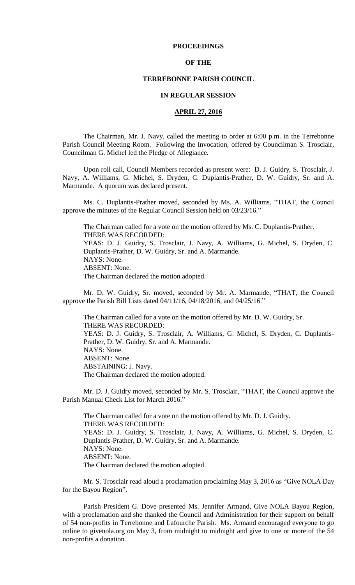### **PROCEEDINGS**

### **OF THE**

### **TERREBONNE PARISH COUNCIL**

### **IN REGULAR SESSION**

## **APRIL 27, 2016**

The Chairman, Mr. J. Navy, called the meeting to order at 6:00 p.m. in the Terrebonne Parish Council Meeting Room. Following the Invocation, offered by Councilman S. Trosclair, Councilman G. Michel led the Pledge of Allegiance.

Upon roll call, Council Members recorded as present were: D. J. Guidry, S. Trosclair, J. Navy, A. Williams, G. Michel, S. Dryden, C. Duplantis-Prather, D. W. Guidry, Sr. and A. Marmande. A quorum was declared present.

Ms. C. Duplantis-Prather moved, seconded by Ms. A. Williams, "THAT, the Council approve the minutes of the Regular Council Session held on 03/23/16."

The Chairman called for a vote on the motion offered by Ms. C. Duplantis-Prather. THERE WAS RECORDED: YEAS: D. J. Guidry, S. Trosclair, J. Navy, A. Williams, G. Michel, S. Dryden, C. Duplantis-Prather, D. W. Guidry, Sr. and A. Marmande. NAYS: None. ABSENT: None. The Chairman declared the motion adopted.

Mr. D. W. Guidry, Sr. moved, seconded by Mr. A. Marmande, "THAT, the Council approve the Parish Bill Lists dated 04/11/16, 04/18/2016, and 04/25/16."

The Chairman called for a vote on the motion offered by Mr. D. W. Guidry, Sr. THERE WAS RECORDED: YEAS: D. J. Guidry, S. Trosclair, A. Williams, G. Michel, S. Dryden, C. Duplantis-Prather, D. W. Guidry, Sr. and A. Marmande. NAYS: None. ABSENT: None. ABSTAINING: J. Navy. The Chairman declared the motion adopted.

Mr. D. J. Guidry moved, seconded by Mr. S. Trosclair, "THAT, the Council approve the Parish Manual Check List for March 2016."

The Chairman called for a vote on the motion offered by Mr. D. J. Guidry. THERE WAS RECORDED: YEAS: D. J. Guidry, S. Trosclair, J. Navy, A. Williams, G. Michel, S. Dryden, C. Duplantis-Prather, D. W. Guidry, Sr. and A. Marmande. NAYS: None. ABSENT: None. The Chairman declared the motion adopted.

Mr. S. Trosclair read aloud a proclamation proclaiming May 3, 2016 as "Give NOLA Day for the Bayou Region".

Parish President G. Dove presented Ms. Jennifer Armand, Give NOLA Bayou Region, with a proclamation and she thanked the Council and Administration for their support on behalf of 54 non-profits in Terrebonne and Lafourche Parish. Ms. Armand encouraged everyone to go online to givenola.org on May 3, from midnight to midnight and give to one or more of the 54 non-profits a donation.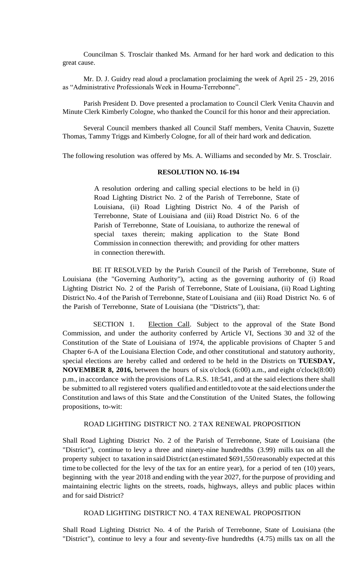Councilman S. Trosclair thanked Ms. Armand for her hard work and dedication to this great cause.

Mr. D. J. Guidry read aloud a proclamation proclaiming the week of April 25 - 29, 2016 as "Administrative Professionals Week in Houma-Terrebonne".

Parish President D. Dove presented a proclamation to Council Clerk Venita Chauvin and Minute Clerk Kimberly Cologne, who thanked the Council for this honor and their appreciation.

Several Council members thanked all Council Staff members, Venita Chauvin, Suzette Thomas, Tammy Triggs and Kimberly Cologne, for all of their hard work and dedication.

The following resolution was offered by Ms. A. Williams and seconded by Mr. S. Trosclair.

## **RESOLUTION NO. 16-194**

A resolution ordering and calling special elections to be held in (i) Road Lighting District No. 2 of the Parish of Terrebonne, State of Louisiana, (ii) Road Lighting District No. 4 of the Parish of Terrebonne, State of Louisiana and (iii) Road District No. 6 of the Parish of Terrebonne, State of Louisiana, to authorize the renewal of special taxes therein; making application to the State Bond Commission in connection therewith; and providing for other matters in connection therewith.

BE IT RESOLVED by the Parish Council of the Parish of Terrebonne, State of Louisiana (the "Governing Authority"), acting as the governing authority of (i) Road Lighting District No. 2 of the Parish of Terrebonne, State of Louisiana, (ii) Road Lighting District No. 4 of the Parish of Terrebonne, State of Louisiana and (iii) Road District No. 6 of the Parish of Terrebonne, State of Louisiana (the "Districts"), that:

SECTION 1. Election Call. Subject to the approval of the State Bond Commission, and under the authority conferred by Article VI, Sections 30 and 32 of the Constitution of the State of Louisiana of 1974, the applicable provisions of Chapter 5 and Chapter 6-A of the Louisiana Election Code, and other constitutional and statutory authority, special elections are hereby called and ordered to be held in the Districts on **TUESDAY, NOVEMBER 8, 2016,** between the hours of six o'clock (6:00) a.m., and eight o'clock(8:00) p.m., in accordance with the provisions of La. R.S. 18:541, and at the said elections there shall be submitted to all registered voters qualified and entitledtovote at the said elections underthe Constitution and laws of this State and the Constitution of the United States, the following propositions, to-wit:

## ROAD LIGHTING DISTRICT NO. 2 TAX RENEWAL PROPOSITION

Shall Road Lighting District No. 2 of the Parish of Terrebonne, State of Louisiana (the "District"), continue to levy a three and ninety-nine hundredths (3.99) mills tax on all the property subject to taxation in said District (an estimated \$691,550 reasonably expected at this time to be collected for the levy of the tax for an entire year), for a period of ten (10) years, beginning with the year 2018 and ending with the year 2027, for the purpose of providing and maintaining electric lights on the streets, roads, highways, alleys and public places within and for said District?

### ROAD LIGHTING DISTRICT NO. 4 TAX RENEWAL PROPOSITION

Shall Road Lighting District No. 4 of the Parish of Terrebonne, State of Louisiana (the "District"), continue to levy a four and seventy-five hundredths (4.75) mills tax on all the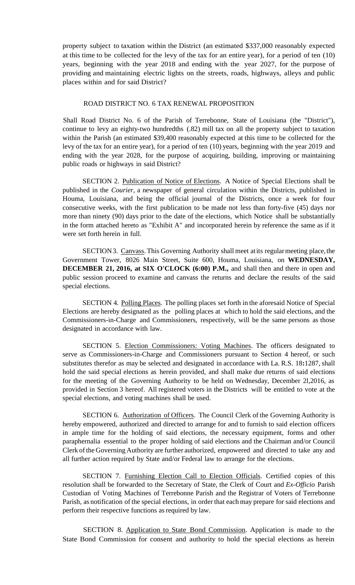property subject to taxation within the District (an estimated \$337,000 reasonably expected at this time to be collected for the levy of the tax for an entire year), for a period of ten (10) years, beginning with the year 2018 and ending with the year 2027, for the purpose of providing and maintaining electric lights on the streets, roads, highways, alleys and public places within and for said District?

### ROAD DISTRICT NO. 6 TAX RENEWAL PROPOSITION

Shall Road District No. 6 of the Parish of Terrebonne, State of Louisiana (the "District"), continue to levy an eighty-two hundredths (.82) mill tax on all the property subject to taxation within the Parish (an estimated \$39,400 reasonably expected at this time to be collected for the levy of the tax for an entire year), for a period of ten (10) years, beginning with the year 2019 and ending with the year 2028, for the purpose of acquiring, building, improving or maintaining public roads or highways in said District?

SECTION 2. Publication of Notice of Elections. A Notice of Special Elections shall be published in the *Courier,* a newspaper of general circulation within the Districts, published in Houma, Louisiana, and being the official journal of the Districts, once a week for four consecutive weeks, with the first publication to be made not less than forty-five (45) days nor more than ninety (90) days prior to the date of the elections, which Notice shall be substantially in the form attached hereto as "Exhibit A" and incorporated herein by reference the same as if it were set forth herein in full.

SECTION3. Canvass. This Governing Authority shall meet at its regular meeting place, the Government Tower, 8026 Main Street, Suite 600, Houma, Louisiana, on **WEDNESDAY, DECEMBER 21, 2016, at SIX O'CLOCK (6:00) P.M.,** and shall then and there in open and public session proceed to examine and canvass the returns and declare the results of the said special elections.

SECTION 4. Polling Places. The polling places set forth in the aforesaid Notice of Special Elections are hereby designated as the polling places at which to hold the said elections, and the Commissioners-in-Charge and Commissioners, respectively, will be the same persons as those designated in accordance with law.

SECTION 5. Election Commissioners: Voting Machines. The officers designated to serve as Commissioners-in-Charge and Commissioners pursuant to Section 4 hereof, or such substitutes therefor as may be selected and designated in accordance with La. R.S. 18**:**1287, shall hold the said special elections as herein provided, and shall make due returns of said elections for the meeting of the Governing Authority to be held on Wednesday, December 2l,2016, as provided in Section 3 hereof. All registered voters in the Districts will be entitled to vote at the special elections, and voting machines shall be used.

SECTION 6. Authorization of Officers. The Council Clerk of the Governing Authority is hereby empowered, authorized and directed to arrange for and to furnish to said election officers in ample time for the holding of said elections, the necessary equipment, forms and other paraphernalia essential to the proper holding of said elections and the Chairman and/or Council Clerk ofthe Governing Authority are further authorized, empowered and directed to take any and all further action required by State and/or Federal law to arrange for the elections.

SECTION 7. Furnishing Election Call to Election Officials. Certified copies of this resolution shall be forwarded to the Secretary of State, the Clerk of Court and *Ex-Officio* Parish Custodian of Voting Machines of Terrebonne Parish and the Registrar of Voters of Terrebonne Parish, as notification of the special elections, in order that each may prepare for said elections and perform their respective functions as required by law.

SECTION 8. Application to State Bond Commission. Application is made to the State Bond Commission for consent and authority to hold the special elections as herein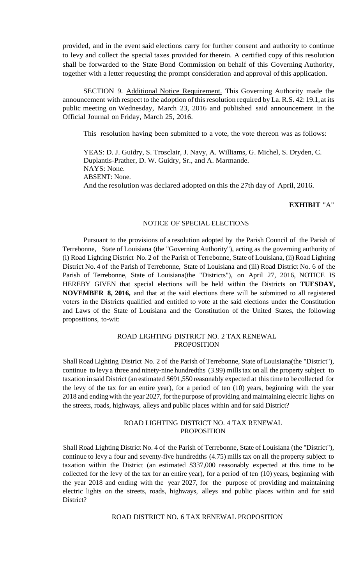provided, and in the event said elections carry for further consent and authority to continue to levy and collect the special taxes provided for therein. A certified copy of this resolution shall be forwarded to the State Bond Commission on behalf of this Governing Authority, together with a letter requesting the prompt consideration and approval of this application.

SECTION 9. Additional Notice Requirement. This Governing Authority made the announcement with respect to the adoption of this resolution required by La.R.S. 42:19.1, at its public meeting on Wednesday, March 23, 2016 and published said announcement in the Official Journal on Friday, March 25, 2016.

This resolution having been submitted to a vote, the vote thereon was as follows:

YEAS: D. J. Guidry, S. Trosclair, J. Navy, A. Williams, G. Michel, S. Dryden, C. Duplantis-Prather, D. W. Guidry, Sr., and A. Marmande. NAYS: None. ABSENT: None. And the resolution was declared adopted on this the 27th day of April, 2016.

## **EXHIBIT** "A"

# NOTICE OF SPECIAL ELECTIONS

Pursuant to the provisions of a resolution adopted by the Parish Council of the Parish of Terrebonne, State of Louisiana (the "Governing Authority"), acting as the governing authority of (i) Road Lighting District No. 2 of the Parish of Terrebonne, State of Louisiana, (ii)Road Lighting District No. 4 of the Parish of Terrebonne, State of Louisiana and (iii) Road District No. 6 of the Parish of Terrebonne, State of Louisiana(the "Districts"), on April 27, 2016, NOTICE IS HEREBY GIVEN that special elections will be held within the Districts on **TUESDAY, NOVEMBER 8, 2016,** and that at the said elections there will be submitted to all registered voters in the Districts qualified and entitled to vote at the said elections under the Constitution and Laws of the State of Louisiana and the Constitution of the United States, the following propositions, to-wit:

## ROAD LIGHTING DISTRICT NO. 2 TAX RENEWAL PROPOSITION

Shall Road Lighting District No. 2 of the Parish of Terrebonne, State of Louisiana(the "District"), continue to levy a three and ninety-nine hundredths  $(3.99)$  mills tax on all the property subject to taxation in said District (an estimated \$691,550 reasonably expected at this time to be collected for the levy of the tax for an entire year), for a period of ten (10) years, beginning with the year 2018 and ending with the year 2027, forthe purpose of providing and maintaining electric lights on the streets, roads, highways, alleys and public places within and for said District?

### ROAD LIGHTING DISTRICT NO. 4 TAX RENEWAL PROPOSITION

Shall Road Lighting District No. 4 of the Parish of Terrebonne, State of Louisiana (the "District"), continue to levy a four and seventy-five hundredths (4.75) mills tax on all the property subject to taxation within the District (an estimated \$337,000 reasonably expected at this time to be collected for the levy of the tax for an entire year), for a period of ten (10) years, beginning with the year 2018 and ending with the year 2027, for the purpose of providing and maintaining electric lights on the streets, roads, highways, alleys and public places within and for said District?

ROAD DISTRICT NO. 6 TAX RENEWAL PROPOSITION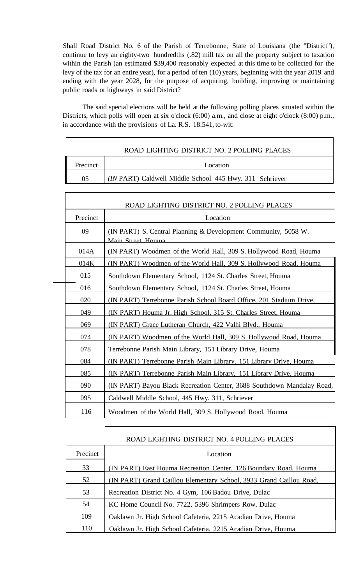Shall Road District No. 6 of the Parish of Terrebonne, State of Louisiana (the "District"), continue to levy an eighty-two hundredths (.82) mill tax on all the property subject to taxation within the Parish (an estimated \$39,400 reasonably expected at this time to be collected for the levy of the tax for an entire year), for a period of ten (10) years, beginning with the year 2019 and ending with the year 2028, for the purpose of acquiring, building, improving or maintaining public roads or highways in said District?

The said special elections will be held at the following polling places situated within the Districts, which polls will open at six o'clock (6:00) a.m., and close at eight o'clock (8:00) p.m., in accordance with the provisions of La. R.S. 18:541, to-wit:

 $\Gamma$ 

|          | ROAD LIGHTING DISTRICT NO. 2 POLLING PLACES              |  |  |
|----------|----------------------------------------------------------|--|--|
| Precinct | Location                                                 |  |  |
| 05       | (IN PART) Caldwell Middle School. 445 Hwy. 311 Schriever |  |  |

| ROAD LIGHTING DISTRICT NO. 2 POLLING PLACES |                                                                                     |  |
|---------------------------------------------|-------------------------------------------------------------------------------------|--|
| Precinct                                    | Location                                                                            |  |
| 09                                          | (IN PART) S. Central Planning & Development Community, 5058 W.<br>Main Street Houma |  |
| 014A                                        | (IN PART) Woodmen of the World Hall, 309 S. Hollywood Road, Houma                   |  |
| 014K                                        | (IN PART) Woodmen of the World Hall, 309 S. Hollywood Road, Houma                   |  |
| 015                                         | Southdown Elementary School, 1124 St. Charles Street, Houma                         |  |
| 016                                         | Southdown Elementary School, 1124 St. Charles Street, Houma                         |  |
| 020                                         | (IN PART) Terrebonne Parish School Board Office, 201 Stadium Drive,                 |  |
| 049                                         | (IN PART) Houma Jr. High School, 315 St. Charles Street, Houma                      |  |
| 069                                         | (IN PART) Grace Lutheran Church, 422 Valhi Blvd., Houma                             |  |
| 074                                         | (IN PART) Woodmen of the World Hall, 309 S. Hollywood Road, Houma                   |  |
| 078                                         | Terrebonne Parish Main Library, 151 Library Drive, Houma                            |  |
| 084                                         | (IN PART) Terrebonne Parish Main Library, 151 Library Drive, Houma                  |  |
| 085                                         | (IN PART) Terrebonne Parish Main Library, 151 Library Drive, Houma                  |  |
| 090                                         | (IN PART) Bayou Black Recreation Center, 3688 Southdown Mandalay Road,              |  |
| 095                                         | Caldwell Middle School, 445 Hwy. 311, Schriever                                     |  |
| 116                                         | Woodmen of the World Hall, 309 S. Hollywood Road, Houma                             |  |

| ROAD LIGHTING DISTRICT NO. 4 POLLING PLACES |                                                                     |  |  |
|---------------------------------------------|---------------------------------------------------------------------|--|--|
| Precinct                                    | Location                                                            |  |  |
| 33                                          | (IN PART) East Houma Recreation Center, 126 Boundary Road, Houma    |  |  |
| 52                                          | (IN PART) Grand Caillou Elementary School, 3933 Grand Caillou Road, |  |  |
| 53                                          | Recreation District No. 4 Gym, 106 Badou Drive, Dulac               |  |  |
| 54                                          | KC Home Council No. 7722, 5396 Shrimpers Row, Dulac                 |  |  |
| 109                                         | Oaklawn Jr. High School Cafeteria, 2215 Acadian Drive, Houma        |  |  |
| 110                                         | Oaklawn Jr. High School Cafeteria, 2215 Acadian Drive, Houma        |  |  |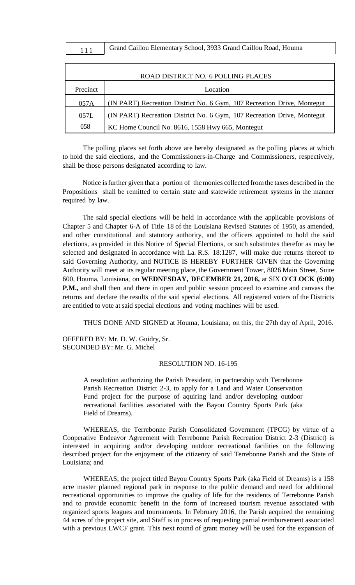| Grand Caillou Elementary School, 3933 Grand Caillou Road, Houma |
|-----------------------------------------------------------------|
|-----------------------------------------------------------------|

| ROAD DISTRICT NO. 6 POLLING PLACES |                                                                         |  |  |
|------------------------------------|-------------------------------------------------------------------------|--|--|
| Precinct                           | Location                                                                |  |  |
| 057A                               | (IN PART) Recreation District No. 6 Gym, 107 Recreation Drive, Montegut |  |  |
| 057L                               | (IN PART) Recreation District No. 6 Gym, 107 Recreation Drive, Montegut |  |  |
| 058                                | KC Home Council No. 8616, 1558 Hwy 665, Montegut                        |  |  |

The polling places set forth above are hereby designated as the polling places at which to hold the said elections, and the Commissioners-in-Charge and Commissioners, respectively, shall be those persons designated according to law.

Notice isfurther given that a portion of themonies collected fromthe taxes described in the Propositions shall be remitted to certain state and statewide retirement systems in the manner required by law.

The said special elections will be held in accordance with the applicable provisions of Chapter 5 and Chapter 6-A of Title 18 of the Louisiana Revised Statutes of 1950, as amended, and other constitutional and statutory authority, and the officers appointed to hold the said elections, as provided in this Notice of Special Elections, or such substitutes therefor as may be selected and designated in accordance with La. R.S. 18:1287, will make due returns thereof to said Governing Authority, and NOTICE IS HEREBY FURTHER GIVEN that the Governing Authority will meet at its regular meeting place, the Government Tower, 8026 Main Street, Suite 600, Houma, Louisiana, on **WEDNESDAY, DECEMBER 21, 2016,** at SIX **O'CLOCK (6:00) P.M.**, and shall then and there in open and public session proceed to examine and canvass the returns and declare the results of the said special elections. All registered voters of the Districts are entitled to vote at said special elections and voting machines will be used.

THUS DONE AND SIGNED at Houma, Louisiana, on this, the 27th day of April, 2016.

OFFERED BY: Mr. D. W. Guidry, Sr. SECONDED BY: Mr. G. Michel

#### RESOLUTION NO. 16-195

A resolution authorizing the Parish President, in partnership with Terrebonne Parish Recreation District 2-3, to apply for a Land and Water Conservation Fund project for the purpose of aquiring land and/or developing outdoor recreational facilities associated with the Bayou Country Sports Park (aka Field of Dreams).

WHEREAS, the Terrebonne Parish Consolidated Government (TPCG) by virtue of a Cooperative Endeavor Agreement with Terrebonne Parish Recreation District 2-3 (District) is interested in acquiring and/or developing outdoor recreational facilities on the following described project for the enjoyment of the citizenry of said Terrebonne Parish and the State of Louisiana; and

WHEREAS, the project titled Bayou Country Sports Park (aka Field of Dreams) is a 158 acre master planned regional park in response to the public demand and need for additional recreational opportunities to improve the quality of life for the residents of Terrebonne Parish and to provide economic benefit in the form of increased tourism revenue associated with organized sports leagues and tournaments. In February 2016, the Parish acquired the remaining 44 acres of the project site, and Staff is in process of requesting partial reimbursement associated with a previous LWCF grant. This next round of grant money will be used for the expansion of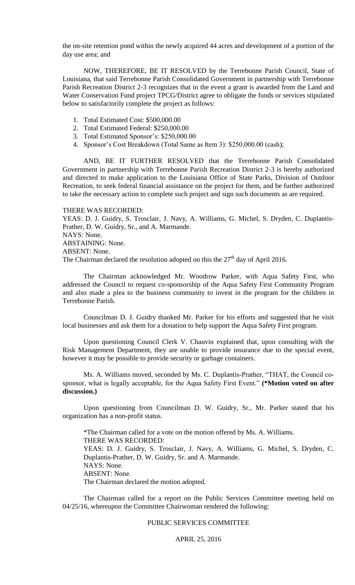the on-site retention pond within the newly acquired 44 acres and development of a portion of the day use area; and

NOW, THEREFORE, BE IT RESOLVED by the Terrebonne Parish Council, State of Louisiana, that said Terrebonne Parish Consolidated Government in partnership with Terrebonne Parish Recreation District 2-3 recognizes that in the event a grant is awarded from the Land and Water Conservation Fund project TPCG/District agree to obligate the funds or services stipulated below to satisfactorily complete the project as follows:

- 1. Total Estimated Cost: \$500,000.00
- 2. Total Estimated Federal: \$250,000.00
- 3. Total Estimated Sponsor's: \$250,000.00
- 4. Sponsor's Cost Breakdown (Total Same as Item 3): \$250,000.00 (cash);

AND, BE IT FURTHER RESOLVED that the Terrebonne Parish Consolidated Government in partnership with Terrebonne Parish Recreation District 2-3 is hereby authorized and directed to make application to the Louisiana Office of State Parks, Division of Outdoor Recreation, to seek federal financial assistance on the project for them, and be further authorized to take the necessary action to complete such project and sign such documents as are required.

#### THERE WAS RECORDED:

YEAS: D. J. Guidry, S. Trosclair, J. Navy, A. Williams, G. Michel, S. Dryden, C. Duplantis-Prather, D. W. Guidry, Sr., and A. Marmande. NAYS: None. ABSTAINING: None. ABSENT: None. The Chairman declared the resolution adopted on this the  $27<sup>th</sup>$  day of April 2016.

The Chairman acknowledged Mr. Woodrow Parker, with Aqua Safety First, who addressed the Council to request co-sponsorship of the Aqua Safety First Community Program and also made a plea to the business community to invest in the program for the children in Terrebonne Parish.

Councilman D. J. Guidry thanked Mr. Parker for his efforts and suggested that he visit local businesses and ask them for a donation to help support the Aqua Safety First program.

Upon questioning Council Clerk V. Chauvin explained that, upon consulting with the Risk Management Department, they are unable to provide insurance due to the special event, however it may be possible to provide security or garbage containers.

Ms. A. Williams moved, seconded by Ms. C. Duplantis-Prather, "THAT, the Council cosponsor, what is legally acceptable, for the Aqua Safety First Event." **(\*Motion voted on after discussion.)**

Upon questioning from Councilman D. W. Guidry, Sr., Mr. Parker stated that his organization has a non-profit status.

\*The Chairman called for a vote on the motion offered by Ms. A. Williams. THERE WAS RECORDED: YEAS: D. J. Guidry, S. Trosclair, J. Navy, A. Williams, G. Michel, S. Dryden, C. Duplantis-Prather, D. W. Guidry, Sr. and A. Marmande. NAYS: None. ABSENT: None. The Chairman declared the motion adopted.

The Chairman called for a report on the Public Services Committee meeting held on 04/25/16, whereupon the Committee Chairwoman rendered the following:

## PUBLIC SERVICES COMMITTEE

APRIL 25, 2016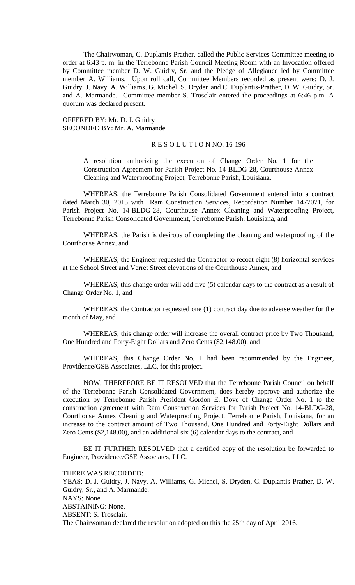The Chairwoman, C. Duplantis-Prather, called the Public Services Committee meeting to order at 6:43 p. m. in the Terrebonne Parish Council Meeting Room with an Invocation offered by Committee member D. W. Guidry, Sr. and the Pledge of Allegiance led by Committee member A. Williams. Upon roll call, Committee Members recorded as present were: D. J. Guidry, J. Navy, A. Williams, G. Michel, S. Dryden and C. Duplantis-Prather, D. W. Guidry, Sr. and A. Marmande. Committee member S. Trosclair entered the proceedings at 6:46 p.m. A quorum was declared present.

OFFERED BY: Mr. D. J. Guidry SECONDED BY: Mr. A. Marmande

### R E S O L U T I O N NO. 16-196

A resolution authorizing the execution of Change Order No. 1 for the Construction Agreement for Parish Project No. 14-BLDG-28, Courthouse Annex Cleaning and Waterproofing Project, Terrebonne Parish, Louisiana.

WHEREAS, the Terrebonne Parish Consolidated Government entered into a contract dated March 30, 2015 with Ram Construction Services, Recordation Number 1477071, for Parish Project No. 14-BLDG-28, Courthouse Annex Cleaning and Waterproofing Project, Terrebonne Parish Consolidated Government, Terrebonne Parish, Louisiana, and

WHEREAS, the Parish is desirous of completing the cleaning and waterproofing of the Courthouse Annex, and

WHEREAS, the Engineer requested the Contractor to recoat eight (8) horizontal services at the School Street and Verret Street elevations of the Courthouse Annex, and

WHEREAS, this change order will add five (5) calendar days to the contract as a result of Change Order No. 1, and

WHEREAS, the Contractor requested one (1) contract day due to adverse weather for the month of May, and

WHEREAS, this change order will increase the overall contract price by Two Thousand, One Hundred and Forty-Eight Dollars and Zero Cents (\$2,148.00), and

WHEREAS, this Change Order No. 1 had been recommended by the Engineer, Providence/GSE Associates, LLC, for this project.

NOW, THEREFORE BE IT RESOLVED that the Terrebonne Parish Council on behalf of the Terrebonne Parish Consolidated Government, does hereby approve and authorize the execution by Terrebonne Parish President Gordon E. Dove of Change Order No. 1 to the construction agreement with Ram Construction Services for Parish Project No. 14-BLDG-28, Courthouse Annex Cleaning and Waterproofing Project, Terrebonne Parish, Louisiana, for an increase to the contract amount of Two Thousand, One Hundred and Forty-Eight Dollars and Zero Cents (\$2,148.00), and an additional six (6) calendar days to the contract, and

BE IT FURTHER RESOLVED that a certified copy of the resolution be forwarded to Engineer, Providence/GSE Associates, LLC.

THERE WAS RECORDED:

YEAS: D. J. Guidry, J. Navy, A. Williams, G. Michel, S. Dryden, C. Duplantis-Prather, D. W. Guidry, Sr., and A. Marmande. NAYS: None. ABSTAINING: None. ABSENT: S. Trosclair. The Chairwoman declared the resolution adopted on this the 25th day of April 2016.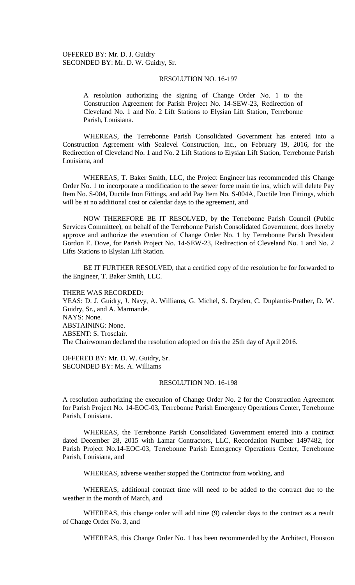OFFERED BY: Mr. D. J. Guidry SECONDED BY: Mr. D. W. Guidry, Sr.

### RESOLUTION NO. 16-197

A resolution authorizing the signing of Change Order No. 1 to the Construction Agreement for Parish Project No. 14-SEW-23, Redirection of Cleveland No. 1 and No. 2 Lift Stations to Elysian Lift Station, Terrebonne Parish, Louisiana.

WHEREAS, the Terrebonne Parish Consolidated Government has entered into a Construction Agreement with Sealevel Construction, Inc., on February 19, 2016, for the Redirection of Cleveland No. 1 and No. 2 Lift Stations to Elysian Lift Station, Terrebonne Parish Louisiana, and

WHEREAS, T. Baker Smith, LLC, the Project Engineer has recommended this Change Order No. 1 to incorporate a modification to the sewer force main tie ins, which will delete Pay Item No. S-004, Ductile Iron Fittings, and add Pay Item No. S-004A, Ductile Iron Fittings, which will be at no additional cost or calendar days to the agreement, and

NOW THEREFORE BE IT RESOLVED, by the Terrebonne Parish Council (Public Services Committee), on behalf of the Terrebonne Parish Consolidated Government, does hereby approve and authorize the execution of Change Order No. 1 by Terrebonne Parish President Gordon E. Dove, for Parish Project No. 14-SEW-23, Redirection of Cleveland No. 1 and No. 2 Lifts Stations to Elysian Lift Station.

BE IT FURTHER RESOLVED, that a certified copy of the resolution be for forwarded to the Engineer, T. Baker Smith, LLC.

THERE WAS RECORDED: YEAS: D. J. Guidry, J. Navy, A. Williams, G. Michel, S. Dryden, C. Duplantis-Prather, D. W. Guidry, Sr., and A. Marmande. NAYS: None. ABSTAINING: None. ABSENT: S. Trosclair. The Chairwoman declared the resolution adopted on this the 25th day of April 2016.

OFFERED BY: Mr. D. W. Guidry, Sr. SECONDED BY: Ms. A. Williams

#### RESOLUTION NO. 16-198

A resolution authorizing the execution of Change Order No. 2 for the Construction Agreement for Parish Project No. 14-EOC-03, Terrebonne Parish Emergency Operations Center, Terrebonne Parish, Louisiana.

WHEREAS, the Terrebonne Parish Consolidated Government entered into a contract dated December 28, 2015 with Lamar Contractors, LLC, Recordation Number 1497482, for Parish Project No.14-EOC-03, Terrebonne Parish Emergency Operations Center, Terrebonne Parish, Louisiana, and

WHEREAS, adverse weather stopped the Contractor from working, and

WHEREAS, additional contract time will need to be added to the contract due to the weather in the month of March, and

WHEREAS, this change order will add nine (9) calendar days to the contract as a result of Change Order No. 3, and

WHEREAS, this Change Order No. 1 has been recommended by the Architect, Houston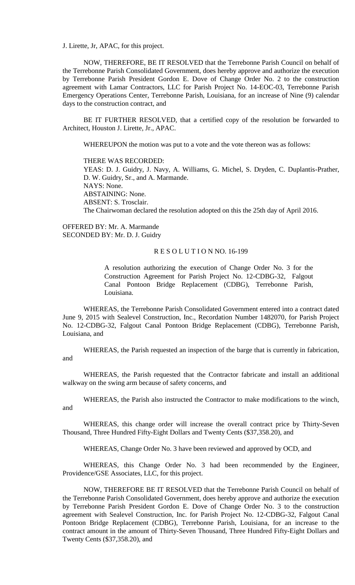J. Lirette, Jr, APAC, for this project.

NOW, THEREFORE, BE IT RESOLVED that the Terrebonne Parish Council on behalf of the Terrebonne Parish Consolidated Government, does hereby approve and authorize the execution by Terrebonne Parish President Gordon E. Dove of Change Order No. 2 to the construction agreement with Lamar Contractors, LLC for Parish Project No. 14-EOC-03, Terrebonne Parish Emergency Operations Center, Terrebonne Parish, Louisiana, for an increase of Nine (9) calendar days to the construction contract, and

BE IT FURTHER RESOLVED, that a certified copy of the resolution be forwarded to Architect, Houston J. Lirette, Jr., APAC.

WHEREUPON the motion was put to a vote and the vote thereon was as follows:

THERE WAS RECORDED: YEAS: D. J. Guidry, J. Navy, A. Williams, G. Michel, S. Dryden, C. Duplantis-Prather, D. W. Guidry, Sr., and A. Marmande. NAYS: None. ABSTAINING: None. ABSENT: S. Trosclair. The Chairwoman declared the resolution adopted on this the 25th day of April 2016.

OFFERED BY: Mr. A. Marmande SECONDED BY: Mr. D. J. Guidry

### R E S O L U T I O N NO. 16-199

A resolution authorizing the execution of Change Order No. 3 for the Construction Agreement for Parish Project No. 12-CDBG-32, Falgout Canal Pontoon Bridge Replacement (CDBG), Terrebonne Parish, Louisiana.

WHEREAS, the Terrebonne Parish Consolidated Government entered into a contract dated June 9, 2015 with Sealevel Construction, Inc., Recordation Number 1482070, for Parish Project No. 12-CDBG-32, Falgout Canal Pontoon Bridge Replacement (CDBG), Terrebonne Parish, Louisiana, and

WHEREAS, the Parish requested an inspection of the barge that is currently in fabrication, and

WHEREAS, the Parish requested that the Contractor fabricate and install an additional walkway on the swing arm because of safety concerns, and

WHEREAS, the Parish also instructed the Contractor to make modifications to the winch, and

WHEREAS, this change order will increase the overall contract price by Thirty-Seven Thousand, Three Hundred Fifty-Eight Dollars and Twenty Cents (\$37,358.20), and

WHEREAS, Change Order No. 3 have been reviewed and approved by OCD, and

WHEREAS, this Change Order No. 3 had been recommended by the Engineer, Providence/GSE Associates, LLC, for this project.

NOW, THEREFORE BE IT RESOLVED that the Terrebonne Parish Council on behalf of the Terrebonne Parish Consolidated Government, does hereby approve and authorize the execution by Terrebonne Parish President Gordon E. Dove of Change Order No. 3 to the construction agreement with Sealevel Construction, Inc. for Parish Project No. 12-CDBG-32, Falgout Canal Pontoon Bridge Replacement (CDBG), Terrebonne Parish, Louisiana, for an increase to the contract amount in the amount of Thirty-Seven Thousand, Three Hundred Fifty-Eight Dollars and Twenty Cents (\$37,358.20), and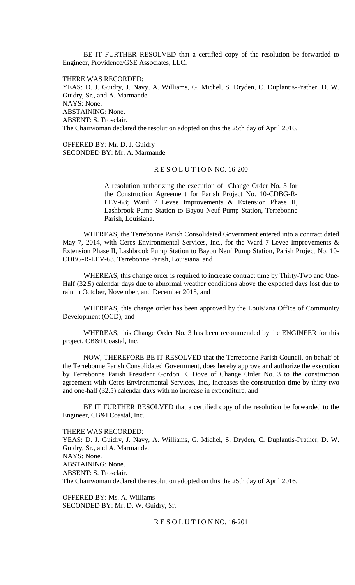BE IT FURTHER RESOLVED that a certified copy of the resolution be forwarded to Engineer, Providence/GSE Associates, LLC.

THERE WAS RECORDED: YEAS: D. J. Guidry, J. Navy, A. Williams, G. Michel, S. Dryden, C. Duplantis-Prather, D. W. Guidry, Sr., and A. Marmande. NAYS: None. ABSTAINING: None. ABSENT: S. Trosclair. The Chairwoman declared the resolution adopted on this the 25th day of April 2016.

OFFERED BY: Mr. D. J. Guidry SECONDED BY: Mr. A. Marmande

#### R E S O L U T I O N NO. 16-200

A resolution authorizing the execution of Change Order No. 3 for the Construction Agreement for Parish Project No. 10-CDBG-R-LEV-63; Ward 7 Levee Improvements & Extension Phase II, Lashbrook Pump Station to Bayou Neuf Pump Station, Terrebonne Parish, Louisiana.

WHEREAS, the Terrebonne Parish Consolidated Government entered into a contract dated May 7, 2014, with Ceres Environmental Services, Inc., for the Ward 7 Levee Improvements & Extension Phase II, Lashbrook Pump Station to Bayou Neuf Pump Station, Parish Project No. 10- CDBG-R-LEV-63, Terrebonne Parish, Louisiana, and

WHEREAS, this change order is required to increase contract time by Thirty-Two and One-Half (32.5) calendar days due to abnormal weather conditions above the expected days lost due to rain in October, November, and December 2015, and

WHEREAS, this change order has been approved by the Louisiana Office of Community Development (OCD), and

WHEREAS, this Change Order No. 3 has been recommended by the ENGINEER for this project, CB&I Coastal, Inc.

NOW, THEREFORE BE IT RESOLVED that the Terrebonne Parish Council, on behalf of the Terrebonne Parish Consolidated Government, does hereby approve and authorize the execution by Terrebonne Parish President Gordon E. Dove of Change Order No. 3 to the construction agreement with Ceres Environmental Services, Inc., increases the construction time by thirty-two and one-half (32.5) calendar days with no increase in expenditure, and

BE IT FURTHER RESOLVED that a certified copy of the resolution be forwarded to the Engineer, CB&I Coastal, Inc.

#### THERE WAS RECORDED:

YEAS: D. J. Guidry, J. Navy, A. Williams, G. Michel, S. Dryden, C. Duplantis-Prather, D. W. Guidry, Sr., and A. Marmande. NAYS: None. ABSTAINING: None. ABSENT: S. Trosclair. The Chairwoman declared the resolution adopted on this the 25th day of April 2016.

OFFERED BY: Ms. A. Williams SECONDED BY: Mr. D. W. Guidry, Sr.

R E S O L U T I O N NO. 16-201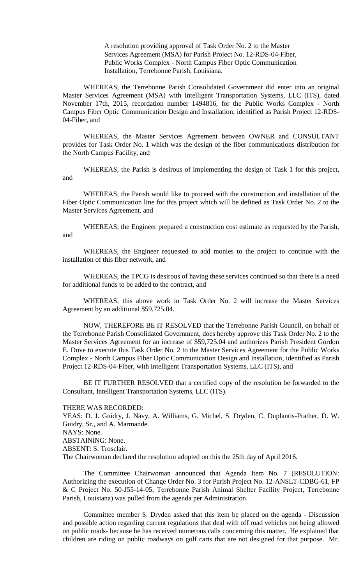A resolution providing approval of Task Order No. 2 to the Master Services Agreement (MSA) for Parish Project No. 12-RDS-04-Fiber, Public Works Complex - North Campus Fiber Optic Communication Installation, Terrebonne Parish, Louisiana.

WHEREAS, the Terrebonne Parish Consolidated Government did enter into an original Master Services Agreement (MSA) with Intelligent Transportation Systems, LLC (ITS), dated November 17th, 2015, recordation number 1494816, for the Public Works Complex - North Campus Fiber Optic Communication Design and Installation, identified as Parish Project 12-RDS-04-Fiber, and

WHEREAS, the Master Services Agreement between OWNER and CONSULTANT provides for Task Order No. 1 which was the design of the fiber communications distribution for the North Campus Facility, and

WHEREAS, the Parish is desirous of implementing the design of Task 1 for this project, and

WHEREAS, the Parish would like to proceed with the construction and installation of the Fiber Optic Communication line for this project which will be defined as Task Order No. 2 to the Master Services Agreement, and

WHEREAS, the Engineer prepared a construction cost estimate as requested by the Parish, and

WHEREAS, the Engineer requested to add monies to the project to continue with the installation of this fiber network, and

WHEREAS, the TPCG is desirous of having these services continued so that there is a need for additional funds to be added to the contract, and

WHEREAS, this above work in Task Order No. 2 will increase the Master Services Agreement by an additional \$59,725.04.

NOW, THEREFORE BE IT RESOLVED that the Terrebonne Parish Council, on behalf of the Terrebonne Parish Consolidated Government, does hereby approve this Task Order No. 2 to the Master Services Agreement for an increase of \$59,725.04 and authorizes Parish President Gordon E. Dove to execute this Task Order No. 2 to the Master Services Agreement for the Public Works Complex - North Campus Fiber Optic Communication Design and Installation, identified as Parish Project 12-RDS-04-Fiber, with Intelligent Transportation Systems, LLC (ITS), and

BE IT FURTHER RESOLVED that a certified copy of the resolution be forwarded to the Consultant, Intelligent Transportation Systems, LLC (ITS).

THERE WAS RECORDED:

YEAS: D. J. Guidry, J. Navy, A. Williams, G. Michel, S. Dryden, C. Duplantis-Prather, D. W. Guidry, Sr., and A. Marmande.

NAYS: None.

ABSTAINING: None.

ABSENT: S. Trosclair.

The Chairwoman declared the resolution adopted on this the 25th day of April 2016.

The Committee Chairwoman announced that Agenda Item No. 7 (RESOLUTION: Authorizing the execution of Change Order No. 3 for Parish Project No. 12-ANSLT-CDBG-61, FP & C Project No. 50-J55-14-05, Terrebonne Parish Animal Shelter Facility Project, Terrebonne Parish, Louisiana) was pulled from the agenda per Administration.

Committee member S. Dryden asked that this item be placed on the agenda - Discussion and possible action regarding current regulations that deal with off road vehicles not being allowed on public roads- because he has received numerous calls concerning this matter. He explained that children are riding on public roadways on golf carts that are not designed for that purpose. Mr.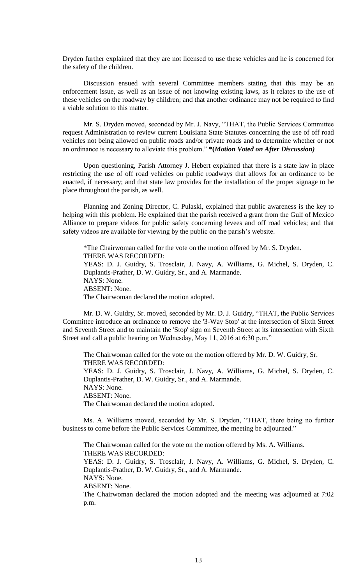Dryden further explained that they are not licensed to use these vehicles and he is concerned for the safety of the children.

Discussion ensued with several Committee members stating that this may be an enforcement issue, as well as an issue of not knowing existing laws, as it relates to the use of these vehicles on the roadway by children; and that another ordinance may not be required to find a viable solution to this matter.

Mr. S. Dryden moved, seconded by Mr. J. Navy, "THAT, the Public Services Committee request Administration to review current Louisiana State Statutes concerning the use of off road vehicles not being allowed on public roads and/or private roads and to determine whether or not an ordinance is necessary to alleviate this problem." **\*(***Motion Voted on After Discussion)*

Upon questioning, Parish Attorney J. Hebert explained that there is a state law in place restricting the use of off road vehicles on public roadways that allows for an ordinance to be enacted, if necessary; and that state law provides for the installation of the proper signage to be place throughout the parish, as well.

Planning and Zoning Director, C. Pulaski, explained that public awareness is the key to helping with this problem. He explained that the parish received a grant from the Gulf of Mexico Alliance to prepare videos for public safety concerning levees and off road vehicles; and that safety videos are available for viewing by the public on the parish's website.

\*The Chairwoman called for the vote on the motion offered by Mr. S. Dryden. THERE WAS RECORDED: YEAS: D. J. Guidry, S. Trosclair, J. Navy, A. Williams, G. Michel, S. Dryden, C. Duplantis-Prather, D. W. Guidry, Sr., and A. Marmande. NAYS: None. ABSENT: None. The Chairwoman declared the motion adopted.

Mr. D. W. Guidry, Sr. moved, seconded by Mr. D. J. Guidry, "THAT, the Public Services Committee introduce an ordinance to remove the '3-Way Stop' at the intersection of Sixth Street and Seventh Street and to maintain the 'Stop' sign on Seventh Street at its intersection with Sixth Street and call a public hearing on Wednesday, May 11, 2016 at 6:30 p.m."

The Chairwoman called for the vote on the motion offered by Mr. D. W. Guidry, Sr. THERE WAS RECORDED: YEAS: D. J. Guidry, S. Trosclair, J. Navy, A. Williams, G. Michel, S. Dryden, C. Duplantis-Prather, D. W. Guidry, Sr., and A. Marmande. NAYS: None. ABSENT: None. The Chairwoman declared the motion adopted.

Ms. A. Williams moved, seconded by Mr. S. Dryden, "THAT, there being no further business to come before the Public Services Committee, the meeting be adjourned."

The Chairwoman called for the vote on the motion offered by Ms. A. Williams. THERE WAS RECORDED: YEAS: D. J. Guidry, S. Trosclair, J. Navy, A. Williams, G. Michel, S. Dryden, C. Duplantis-Prather, D. W. Guidry, Sr., and A. Marmande. NAYS: None.

ABSENT: None.

The Chairwoman declared the motion adopted and the meeting was adjourned at 7:02 p.m.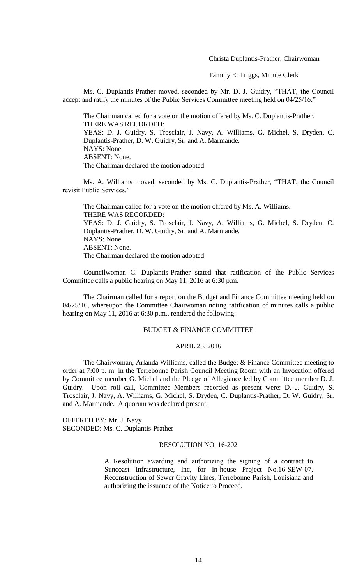Christa Duplantis-Prather, Chairwoman

Tammy E. Triggs, Minute Clerk

Ms. C. Duplantis-Prather moved, seconded by Mr. D. J. Guidry, "THAT, the Council accept and ratify the minutes of the Public Services Committee meeting held on 04/25/16."

The Chairman called for a vote on the motion offered by Ms. C. Duplantis-Prather. THERE WAS RECORDED: YEAS: D. J. Guidry, S. Trosclair, J. Navy, A. Williams, G. Michel, S. Dryden, C. Duplantis-Prather, D. W. Guidry, Sr. and A. Marmande. NAYS: None. ABSENT: None. The Chairman declared the motion adopted.

Ms. A. Williams moved, seconded by Ms. C. Duplantis-Prather, "THAT, the Council revisit Public Services."

The Chairman called for a vote on the motion offered by Ms. A. Williams. THERE WAS RECORDED: YEAS: D. J. Guidry, S. Trosclair, J. Navy, A. Williams, G. Michel, S. Dryden, C. Duplantis-Prather, D. W. Guidry, Sr. and A. Marmande. NAYS: None. ABSENT: None. The Chairman declared the motion adopted.

Councilwoman C. Duplantis-Prather stated that ratification of the Public Services Committee calls a public hearing on May 11, 2016 at 6:30 p.m.

The Chairman called for a report on the Budget and Finance Committee meeting held on 04/25/16, whereupon the Committee Chairwoman noting ratification of minutes calls a public hearing on May 11, 2016 at 6:30 p.m., rendered the following:

### BUDGET & FINANCE COMMITTEE

### APRIL 25, 2016

The Chairwoman, Arlanda Williams, called the Budget & Finance Committee meeting to order at 7:00 p. m. in the Terrebonne Parish Council Meeting Room with an Invocation offered by Committee member G. Michel and the Pledge of Allegiance led by Committee member D. J. Guidry. Upon roll call, Committee Members recorded as present were: D. J. Guidry, S. Trosclair, J. Navy, A. Williams, G. Michel, S. Dryden, C. Duplantis-Prather, D. W. Guidry, Sr. and A. Marmande. A quorum was declared present.

OFFERED BY: Mr. J. Navy SECONDED: Ms. C. Duplantis-Prather

### RESOLUTION NO. 16-202

A Resolution awarding and authorizing the signing of a contract to Suncoast Infrastructure, Inc, for In-house Project No.16-SEW-07, Reconstruction of Sewer Gravity Lines, Terrebonne Parish, Louisiana and authorizing the issuance of the Notice to Proceed.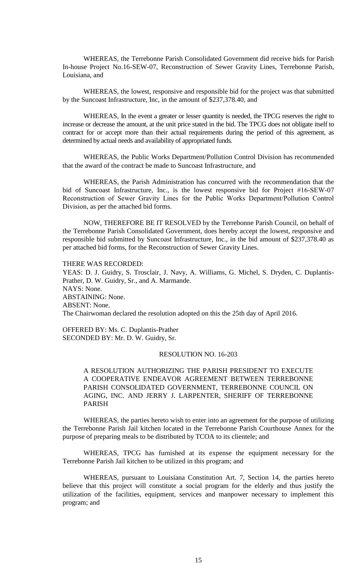WHEREAS, the Terrebonne Parish Consolidated Government did receive bids for Parish In-house Project No.16-SEW-07, Reconstruction of Sewer Gravity Lines, Terrebonne Parish, Louisiana, and

WHEREAS, the lowest, responsive and responsible bid for the project was that submitted by the Suncoast Infrastructure, Inc, in the amount of \$237,378.40, and

WHEREAS, In the event a greater or lesser quantity is needed, the TPCG reserves the right to increase or decrease the amount, at the unit price stated in the bid. The TPCG does not obligate itself to contract for or accept more than their actual requirements during the period of this agreement, as determined by actual needs and availability of appropriated funds.

WHEREAS, the Public Works Department/Pollution Control Division has recommended that the award of the contract be made to Suncoast Infrastructure, and

WHEREAS, the Parish Administration has concurred with the recommendation that the bid of Suncoast Infrastructure, Inc., is the lowest responsive bid for Project #16-SEW-07 Reconstruction of Sewer Gravity Lines for the Public Works Department/Pollution Control Division, as per the attached bid forms.

NOW, THEREFORE BE IT RESOLVED by the Terrebonne Parish Council, on behalf of the Terrebonne Parish Consolidated Government, does hereby accept the lowest, responsive and responsible bid submitted by Suncoast Infrastructure, Inc., in the bid amount of \$237,378.40 as per attached bid forms, for the Reconstruction of Sewer Gravity Lines.

THERE WAS RECORDED:

YEAS: D. J. Guidry, S. Trosclair, J. Navy, A. Williams, G. Michel, S. Dryden, C. Duplantis-Prather, D. W. Guidry, Sr., and A. Marmande. NAYS: None. ABSTAINING: None. ABSENT: None. The Chairwoman declared the resolution adopted on this the 25th day of April 2016.

OFFERED BY: Ms. C. Duplantis-Prather SECONDED BY: Mr. D. W. Guidry, Sr.

## RESOLUTION NO. 16-203

A RESOLUTION AUTHORIZING THE PARISH PRESIDENT TO EXECUTE A COOPERATIVE ENDEAVOR AGREEMENT BETWEEN TERREBONNE PARISH CONSOLIDATED GOVERNMENT, TERREBONNE COUNCIL ON AGING, INC. AND JERRY J. LARPENTER, SHERIFF OF TERREBONNE PARISH

WHEREAS, the parties hereto wish to enter into an agreement for the purpose of utilizing the Terrebonne Parish Jail kitchen located in the Terrebonne Parish Courthouse Annex for the purpose of preparing meals to be distributed by TCOA to its clientele; and

WHEREAS, TPCG has furnished at its expense the equipment necessary for the Terrebonne Parish Jail kitchen to be utilized in this program; and

WHEREAS, pursuant to Louisiana Constitution Art. 7, Section 14, the parties hereto believe that this project will constitute a social program for the elderly and thus justify the utilization of the facilities, equipment, services and manpower necessary to implement this program; and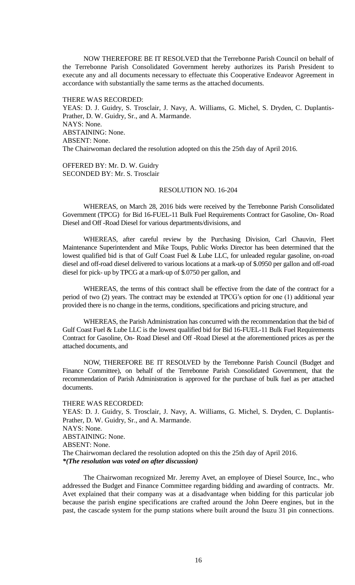NOW THEREFORE BE IT RESOLVED that the Terrebonne Parish Council on behalf of the Terrebonne Parish Consolidated Government hereby authorizes its Parish President to execute any and all documents necessary to effectuate this Cooperative Endeavor Agreement in accordance with substantially the same terms as the attached documents.

THERE WAS RECORDED: YEAS: D. J. Guidry, S. Trosclair, J. Navy, A. Williams, G. Michel, S. Dryden, C. Duplantis-Prather, D. W. Guidry, Sr., and A. Marmande. NAYS: None. ABSTAINING: None. ABSENT: None. The Chairwoman declared the resolution adopted on this the 25th day of April 2016.

OFFERED BY: Mr. D. W. Guidry SECONDED BY: Mr. S. Trosclair

## RESOLUTION NO. 16-204

WHEREAS, on March 28, 2016 bids were received by the Terrebonne Parish Consolidated Government (TPCG) for Bid 16-FUEL-11 Bulk Fuel Requirements Contract for Gasoline, On- Road Diesel and Off -Road Diesel for various departments/divisions, and

WHEREAS, after careful review by the Purchasing Division, Carl Chauvin, Fleet Maintenance Superintendent and Mike Toups, Public Works Director has been determined that the lowest qualified bid is that of Gulf Coast Fuel & Lube LLC, for unleaded regular gasoline, on-road diesel and off-road diesel delivered to various locations at a mark-up of \$.0950 per gallon and off-road diesel for pick- up by TPCG at a mark-up of \$.0750 per gallon, and

WHEREAS, the terms of this contract shall be effective from the date of the contract for a period of two (2) years. The contract may be extended at TPCG's option for one (1) additional year provided there is no change in the terms, conditions, specifications and pricing structure, and

WHEREAS, the Parish Administration has concurred with the recommendation that the bid of Gulf Coast Fuel & Lube LLC is the lowest qualified bid for Bid 16-FUEL-11 Bulk Fuel Requirements Contract for Gasoline, On- Road Diesel and Off -Road Diesel at the aforementioned prices as per the attached documents, and

NOW, THEREFORE BE IT RESOLVED by the Terrebonne Parish Council (Budget and Finance Committee), on behalf of the Terrebonne Parish Consolidated Government, that the recommendation of Parish Administration is approved for the purchase of bulk fuel as per attached documents.

#### THERE WAS RECORDED:

YEAS: D. J. Guidry, S. Trosclair, J. Navy, A. Williams, G. Michel, S. Dryden, C. Duplantis-Prather, D. W. Guidry, Sr., and A. Marmande. NAYS: None. ABSTAINING: None. ABSENT: None. The Chairwoman declared the resolution adopted on this the 25th day of April 2016. *\*(The resolution was voted on after discussion)*

The Chairwoman recognized Mr. Jeremy Avet, an employee of Diesel Source, Inc., who addressed the Budget and Finance Committee regarding bidding and awarding of contracts. Mr. Avet explained that their company was at a disadvantage when bidding for this particular job because the parish engine specifications are crafted around the John Deere engines, but in the past, the cascade system for the pump stations where built around the Isuzu 31 pin connections.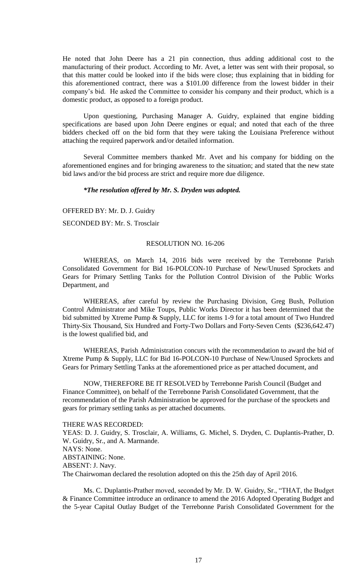He noted that John Deere has a 21 pin connection, thus adding additional cost to the manufacturing of their product. According to Mr. Avet, a letter was sent with their proposal, so that this matter could be looked into if the bids were close; thus explaining that in bidding for this aforementioned contract, there was a \$101.00 difference from the lowest bidder in their company's bid. He asked the Committee to consider his company and their product, which is a domestic product, as opposed to a foreign product.

Upon questioning, Purchasing Manager A. Guidry, explained that engine bidding specifications are based upon John Deere engines or equal; and noted that each of the three bidders checked off on the bid form that they were taking the Louisiana Preference without attaching the required paperwork and/or detailed information.

Several Committee members thanked Mr. Avet and his company for bidding on the aforementioned engines and for bringing awareness to the situation; and stated that the new state bid laws and/or the bid process are strict and require more due diligence.

## *\*The resolution offered by Mr. S. Dryden was adopted.*

OFFERED BY: Mr. D. J. Guidry

SECONDED BY: Mr. S. Trosclair

#### RESOLUTION NO. 16-206

WHEREAS, on March 14, 2016 bids were received by the Terrebonne Parish Consolidated Government for Bid 16-POLCON-10 Purchase of New/Unused Sprockets and Gears for Primary Settling Tanks for the Pollution Control Division of the Public Works Department, and

WHEREAS, after careful by review the Purchasing Division, Greg Bush, Pollution Control Administrator and Mike Toups, Public Works Director it has been determined that the bid submitted by Xtreme Pump & Supply, LLC for items 1-9 for a total amount of Two Hundred Thirty-Six Thousand, Six Hundred and Forty-Two Dollars and Forty-Seven Cents (\$236,642.47) is the lowest qualified bid, and

WHEREAS, Parish Administration concurs with the recommendation to award the bid of Xtreme Pump & Supply, LLC for Bid 16-POLCON-10 Purchase of New/Unused Sprockets and Gears for Primary Settling Tanks at the aforementioned price as per attached document, and

NOW, THEREFORE BE IT RESOLVED by Terrebonne Parish Council (Budget and Finance Committee), on behalf of the Terrebonne Parish Consolidated Government, that the recommendation of the Parish Administration be approved for the purchase of the sprockets and gears for primary settling tanks as per attached documents.

#### THERE WAS RECORDED:

YEAS: D. J. Guidry, S. Trosclair, A. Williams, G. Michel, S. Dryden, C. Duplantis-Prather, D. W. Guidry, Sr., and A. Marmande. NAYS: None. ABSTAINING: None. ABSENT: J. Navy. The Chairwoman declared the resolution adopted on this the 25th day of April 2016.

Ms. C. Duplantis-Prather moved, seconded by Mr. D. W. Guidry, Sr., "THAT, the Budget & Finance Committee introduce an ordinance to amend the 2016 Adopted Operating Budget and the 5-year Capital Outlay Budget of the Terrebonne Parish Consolidated Government for the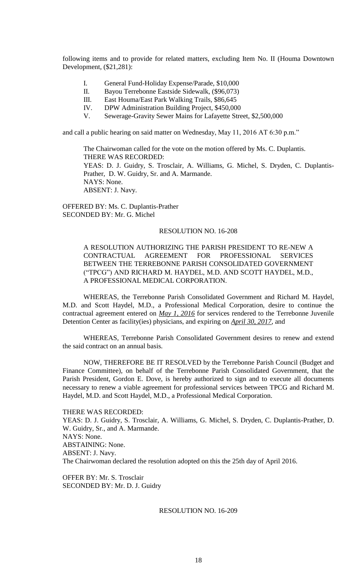following items and to provide for related matters, excluding Item No. II (Houma Downtown Development, (\$21,281):

- I. General Fund-Holiday Expense/Parade, \$10,000
- II. Bayou Terrebonne Eastside Sidewalk, (\$96,073)
- III. East Houma/East Park Walking Trails, \$86,645
- IV. DPW Administration Building Project, \$450,000
- V. Sewerage-Gravity Sewer Mains for Lafayette Street, \$2,500,000

and call a public hearing on said matter on Wednesday, May 11, 2016 AT 6:30 p.m."

The Chairwoman called for the vote on the motion offered by Ms. C. Duplantis. THERE WAS RECORDED: YEAS: D. J. Guidry, S. Trosclair, A. Williams, G. Michel, S. Dryden, C. Duplantis-Prather, D. W. Guidry, Sr. and A. Marmande. NAYS: None. ABSENT: J. Navy.

OFFERED BY: Ms. C. Duplantis-Prather SECONDED BY: Mr. G. Michel

### RESOLUTION NO. 16-208

A RESOLUTION AUTHORIZING THE PARISH PRESIDENT TO RE-NEW A CONTRACTUAL AGREEMENT FOR PROFESSIONAL SERVICES BETWEEN THE TERREBONNE PARISH CONSOLIDATED GOVERNMENT ("TPCG") AND RICHARD M. HAYDEL, M.D. AND SCOTT HAYDEL, M.D., A PROFESSIONAL MEDICAL CORPORATION.

WHEREAS, the Terrebonne Parish Consolidated Government and Richard M. Haydel, M.D. and Scott Haydel, M.D., a Professional Medical Corporation, desire to continue the contractual agreement entered on *May 1, 2016* for services rendered to the Terrebonne Juvenile Detention Center as facility(ies) physicians, and expiring on *April 30, 2017*, and

WHEREAS, Terrebonne Parish Consolidated Government desires to renew and extend the said contract on an annual basis.

NOW, THEREFORE BE IT RESOLVED by the Terrebonne Parish Council (Budget and Finance Committee), on behalf of the Terrebonne Parish Consolidated Government, that the Parish President, Gordon E. Dove, is hereby authorized to sign and to execute all documents necessary to renew a viable agreement for professional services between TPCG and Richard M. Haydel, M.D. and Scott Haydel, M.D., a Professional Medical Corporation.

THERE WAS RECORDED: YEAS: D. J. Guidry, S. Trosclair, A. Williams, G. Michel, S. Dryden, C. Duplantis-Prather, D. W. Guidry, Sr., and A. Marmande. NAYS: None. ABSTAINING: None. ABSENT: J. Navy. The Chairwoman declared the resolution adopted on this the 25th day of April 2016.

OFFER BY: Mr. S. Trosclair SECONDED BY: Mr. D. J. Guidry

### RESOLUTION NO. 16-209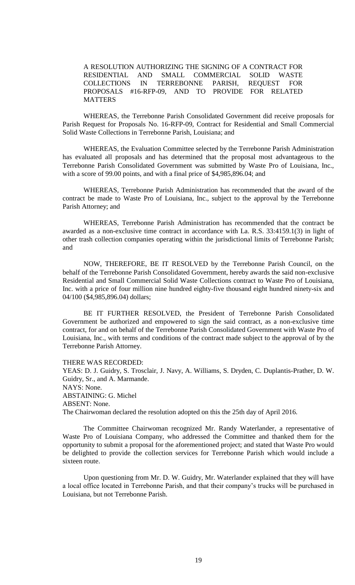A RESOLUTION AUTHORIZING THE SIGNING OF A CONTRACT FOR RESIDENTIAL AND SMALL COMMERCIAL SOLID WASTE COLLECTIONS IN TERREBONNE PARISH, REQUEST FOR PROPOSALS #16-RFP-09, AND TO PROVIDE FOR RELATED **MATTERS** 

WHEREAS, the Terrebonne Parish Consolidated Government did receive proposals for Parish Request for Proposals No. 16-RFP-09, Contract for Residential and Small Commercial Solid Waste Collections in Terrebonne Parish, Louisiana; and

WHEREAS, the Evaluation Committee selected by the Terrebonne Parish Administration has evaluated all proposals and has determined that the proposal most advantageous to the Terrebonne Parish Consolidated Government was submitted by Waste Pro of Louisiana, Inc., with a score of 99.00 points, and with a final price of \$4,985,896.04; and

WHEREAS, Terrebonne Parish Administration has recommended that the award of the contract be made to Waste Pro of Louisiana, Inc., subject to the approval by the Terrebonne Parish Attorney; and

WHEREAS, Terrebonne Parish Administration has recommended that the contract be awarded as a non-exclusive time contract in accordance with La. R.S. 33:4159.1(3) in light of other trash collection companies operating within the jurisdictional limits of Terrebonne Parish; and

NOW, THEREFORE, BE IT RESOLVED by the Terrebonne Parish Council, on the behalf of the Terrebonne Parish Consolidated Government, hereby awards the said non-exclusive Residential and Small Commercial Solid Waste Collections contract to Waste Pro of Louisiana, Inc. with a price of four million nine hundred eighty-five thousand eight hundred ninety-six and 04/100 (\$4,985,896.04) dollars;

BE IT FURTHER RESOLVED, the President of Terrebonne Parish Consolidated Government be authorized and empowered to sign the said contract, as a non-exclusive time contract, for and on behalf of the Terrebonne Parish Consolidated Government with Waste Pro of Louisiana, Inc., with terms and conditions of the contract made subject to the approval of by the Terrebonne Parish Attorney.

THERE WAS RECORDED:

YEAS: D. J. Guidry, S. Trosclair, J. Navy, A. Williams, S. Dryden, C. Duplantis-Prather, D. W. Guidry, Sr., and A. Marmande. NAYS: None. ABSTAINING: G. Michel ABSENT: None. The Chairwoman declared the resolution adopted on this the 25th day of April 2016.

The Committee Chairwoman recognized Mr. Randy Waterlander, a representative of Waste Pro of Louisiana Company, who addressed the Committee and thanked them for the opportunity to submit a proposal for the aforementioned project; and stated that Waste Pro would be delighted to provide the collection services for Terrebonne Parish which would include a sixteen route.

Upon questioning from Mr. D. W. Guidry, Mr. Waterlander explained that they will have a local office located in Terrebonne Parish, and that their company's trucks will be purchased in Louisiana, but not Terrebonne Parish.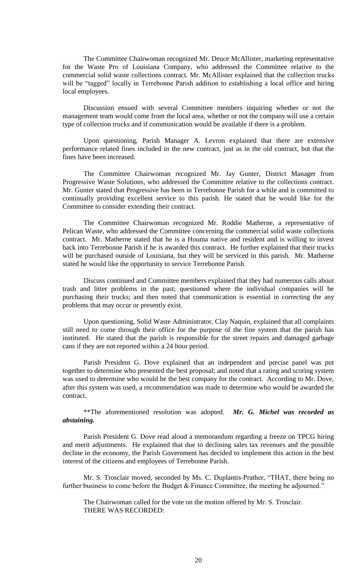The Committee Chairwoman recognized Mr. Deuce McAllister, marketing representative for the Waste Pro of Louisiana Company, who addressed the Committee relative to the commercial solid waste collections contract. Mr. McAllister explained that the collection trucks will be "tagged" locally in Terrebonne Parish addition to establishing a local office and hiring local employees.

Discussion ensued with several Committee members inquiring whether or not the management team would come from the local area, whether or not the company will use a certain type of collection trucks and if communication would be available if there is a problem.

Upon questioning, Parish Manager A. Levron explained that there are extensive performance related fines included in the new contract, just as in the old contract, but that the fines have been increased.

The Committee Chairwoman recognized Mr. Jay Gunter, District Manager from Progressive Waste Solutions, who addressed the Committee relative to the collections contract. Mr. Gunter stated that Progressive has been in Terrebonne Parish for a while and is committed to continually providing excellent service to this parish. He stated that he would like for the Committee to consider extending their contract.

The Committee Chairwoman recognized Mr. Roddie Matherne, a representative of Pelican Waste, who addressed the Committee concerning the commercial solid waste collections contract. Mr. Matherne stated that he is a Houma native and resident and is willing to invest back into Terrebonne Parish if he is awarded this contract. He further explained that their trucks will be purchased outside of Louisiana, but they will be serviced in this parish. Mr. Matherne stated he would like the opportunity to service Terrebonne Parish.

Discuss continued and Committee members explained that they had numerous calls about trash and litter problems in the past; questioned where the individual companies will be purchasing their trucks; and then noted that communication is essential in correcting the any problems that may occur or presently exist.

Upon questioning, Solid Waste Administrator, Clay Naquin, explained that all complaints still need to come through their office for the purpose of the fine system that the parish has instituted. He stated that the parish is responsible for the street repairs and damaged garbage cans if they are not reported within a 24 hour period.

Parish President G. Dove explained that an independent and precise panel was put together to determine who presented the best proposal; and noted that a rating and scoring system was used to determine who would be the best company for the contract. According to Mr. Dove, after this system was used, a recommendation was made to determine who would be awarded the contract.

\*\*The aforementioned resolution was adopted. *Mr. G. Michel was recorded as abstaining.*

Parish President G. Dove read aloud a memorandum regarding a freeze on TPCG hiring and merit adjustments. He explained that due to declining sales tax revenues and the possible decline in the economy, the Parish Government has decided to implement this action in the best interest of the citizens and employees of Terrebonne Parish.

Mr. S. Trosclair moved, seconded by Ms. C. Duplantis-Prather, "THAT, there being no further business to come before the Budget & Finance Committee, the meeting be adjourned."

The Chairwoman called for the vote on the motion offered by Mr. S. Trosclair. THERE WAS RECORDED: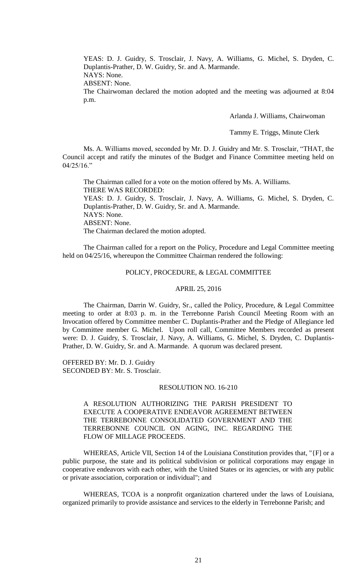YEAS: D. J. Guidry, S. Trosclair, J. Navy, A. Williams, G. Michel, S. Dryden, C. Duplantis-Prather, D. W. Guidry, Sr. and A. Marmande.

NAYS: None.

ABSENT: None.

The Chairwoman declared the motion adopted and the meeting was adjourned at 8:04 p.m.

Arlanda J. Williams, Chairwoman

Tammy E. Triggs, Minute Clerk

Ms. A. Williams moved, seconded by Mr. D. J. Guidry and Mr. S. Trosclair, "THAT, the Council accept and ratify the minutes of the Budget and Finance Committee meeting held on  $04/25/16$ ."

The Chairman called for a vote on the motion offered by Ms. A. Williams. THERE WAS RECORDED: YEAS: D. J. Guidry, S. Trosclair, J. Navy, A. Williams, G. Michel, S. Dryden, C. Duplantis-Prather, D. W. Guidry, Sr. and A. Marmande. NAYS: None. ABSENT: None. The Chairman declared the motion adopted.

The Chairman called for a report on the Policy, Procedure and Legal Committee meeting held on 04/25/16, whereupon the Committee Chairman rendered the following:

## POLICY, PROCEDURE, & LEGAL COMMITTEE

### APRIL 25, 2016

The Chairman, Darrin W. Guidry, Sr., called the Policy, Procedure, & Legal Committee meeting to order at 8:03 p. m. in the Terrebonne Parish Council Meeting Room with an Invocation offered by Committee member C. Duplantis-Prather and the Pledge of Allegiance led by Committee member G. Michel. Upon roll call, Committee Members recorded as present were: D. J. Guidry, S. Trosclair, J. Navy, A. Williams, G. Michel, S. Dryden, C. Duplantis-Prather, D. W. Guidry, Sr. and A. Marmande. A quorum was declared present.

OFFERED BY: Mr. D. J. Guidry SECONDED BY: Mr. S. Trosclair.

### RESOLUTION NO. 16-210

A RESOLUTION AUTHORIZING THE PARISH PRESIDENT TO EXECUTE A COOPERATIVE ENDEAVOR AGREEMENT BETWEEN THE TERREBONNE CONSOLIDATED GOVERNMENT AND THE TERREBONNE COUNCIL ON AGING, INC. REGARDING THE FLOW OF MILLAGE PROCEEDS.

WHEREAS, Article VII, Section 14 of the Louisiana Constitution provides that, "{F] or a public purpose, the state and its political subdivision or political corporations may engage in cooperative endeavors with each other, with the United States or its agencies, or with any public or private association, corporation or individual"; and

WHEREAS, TCOA is a nonprofit organization chartered under the laws of Louisiana, organized primarily to provide assistance and services to the elderly in Terrebonne Parish; and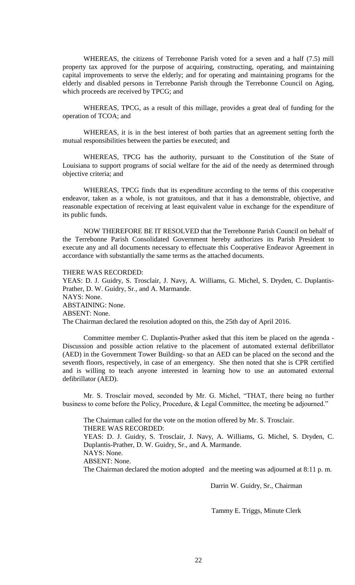WHEREAS, the citizens of Terrebonne Parish voted for a seven and a half (7.5) mill property tax approved for the purpose of acquiring, constructing, operating, and maintaining capital improvements to serve the elderly; and for operating and maintaining programs for the elderly and disabled persons in Terrebonne Parish through the Terrebonne Council on Aging, which proceeds are received by TPCG; and

WHEREAS, TPCG, as a result of this millage, provides a great deal of funding for the operation of TCOA; and

WHEREAS, it is in the best interest of both parties that an agreement setting forth the mutual responsibilities between the parties be executed; and

WHEREAS, TPCG has the authority, pursuant to the Constitution of the State of Louisiana to support programs of social welfare for the aid of the needy as determined through objective criteria; and

WHEREAS, TPCG finds that its expenditure according to the terms of this cooperative endeavor, taken as a whole, is not gratuitous, and that it has a demonstrable, objective, and reasonable expectation of receiving at least equivalent value in exchange for the expenditure of its public funds.

NOW THEREFORE BE IT RESOLVED that the Terrebonne Parish Council on behalf of the Terrebonne Parish Consolidated Government hereby authorizes its Parish President to execute any and all documents necessary to effectuate this Cooperative Endeavor Agreement in accordance with substantially the same terms as the attached documents.

### THERE WAS RECORDED:

YEAS: D. J. Guidry, S. Trosclair, J. Navy, A. Williams, G. Michel, S. Dryden, C. Duplantis-Prather, D. W. Guidry, Sr., and A. Marmande. NAYS: None. ABSTAINING: None. ABSENT: None. The Chairman declared the resolution adopted on this, the 25th day of April 2016.

Committee member C. Duplantis-Prather asked that this item be placed on the agenda - Discussion and possible action relative to the placement of automated external defibrillator (AED) in the Government Tower Building- so that an AED can be placed on the second and the seventh floors, respectively, in case of an emergency. She then noted that she is CPR certified and is willing to teach anyone interested in learning how to use an automated external defibrillator (AED).

Mr. S. Trosclair moved, seconded by Mr. G. Michel, "THAT, there being no further business to come before the Policy, Procedure, & Legal Committee, the meeting be adjourned."

The Chairman called for the vote on the motion offered by Mr. S. Trosclair. THERE WAS RECORDED: YEAS: D. J. Guidry, S. Trosclair, J. Navy, A. Williams, G. Michel, S. Dryden, C. Duplantis-Prather, D. W. Guidry, Sr., and A. Marmande. NAYS: None. ABSENT: None. The Chairman declared the motion adopted and the meeting was adjourned at 8:11 p. m.

Darrin W. Guidry, Sr., Chairman

Tammy E. Triggs, Minute Clerk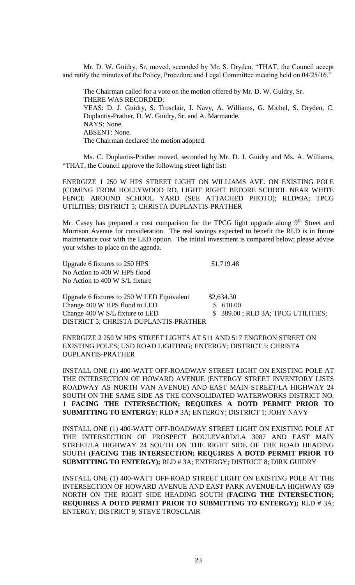Mr. D. W. Guidry, Sr. moved, seconded by Mr. S. Dryden, "THAT, the Council accept and ratify the minutes of the Policy, Procedure and Legal Committee meeting held on 04/25/16."

The Chairman called for a vote on the motion offered by Mr. D. W. Guidry, Sr. THERE WAS RECORDED: YEAS: D. J. Guidry, S. Trosclair, J. Navy, A. Williams, G. Michel, S. Dryden, C. Duplantis-Prather, D. W. Guidry, Sr. and A. Marmande. NAYS: None. ABSENT: None. The Chairman declared the motion adopted.

Ms. C. Duplantis-Prather moved, seconded by Mr. D. J. Guidry and Ms. A. Williams, "THAT, the Council approve the following street light list:

ENERGIZE 1 250 W HPS STREET LIGHT ON WILLIAMS AVE. ON EXISTING POLE (COMING FROM HOLLYWOOD RD. LIGHT RIGHT BEFORE SCHOOL NEAR WHITE FENCE AROUND SCHOOL YARD (SEE ATTACHED PHOTO); RLD#3A; TPCG UTILITIES; DISTRICT 5; CHRISTA DUPLANTIS-PRATHER

Mr. Casey has prepared a cost comparison for the TPCG light upgrade along  $9<sup>th</sup>$  Street and Morrison Avenue for consideration. The real savings expected to benefit the RLD is in future maintenance cost with the LED option. The initial investment is compared below; please advise your wishes to place on the agenda.

Upgrade 6 fixtures to  $250$  HPS  $$1,719.48$ No Action to 400 W HPS flood No Action to 400 W S/L fixture

Upgrade 6 fixtures to  $250$  W LED Equivalent  $$2,634.30$ Change 400 W HPS flood to LED \$ 610.00 Change 400 W S/L fixture to LED  $$ 389.00$ ; RLD 3A; TPCG UTILITIES; DISTRICT 5; CHRISTA DUPLANTIS-PRATHER

ENERGIZE 2 250 W HPS STREET LIGHTS AT 511 AND 517 ENGERON STREET ON EXISTING POLES; USD ROAD LIGHTING; ENTERGY; DISTRICT 5; CHRISTA DUPLANTIS-PRATHER

INSTALL ONE (1) 400-WATT OFF-ROADWAY STREET LIGHT ON EXISTING POLE AT THE INTERSECTION OF HOWARD AVENUE (ENTERGY STREET INVENTORY LISTS ROADWAY AS NORTH VAN AVENUE) AND EAST MAIN STREET/LA HIGHWAY 24 SOUTH ON THE SAME SIDE AS THE CONSOLIDATED WATERWORKS DISTRICT NO. 1 **FACING THE INTERSECTION; REQUIRES A DOTD PERMIT PRIOR TO SUBMITTING TO ENTERGY**; RLD # 3A; ENTERGY; DISTRICT 1; JOHY NAVY

INSTALL ONE (1) 400-WATT OFF-ROADWAY STREET LIGHT ON EXISTING POLE AT THE INTERSECTION OF PROSPECT BOULEVARD/LA 3087 AND EAST MAIN STREET/LA HIGHWAY 24 SOUTH ON THE RIGHT SIDE OF THE ROAD HEADING SOUTH (**FACING THE INTERSECTION; REQUIRES A DOTD PERMIT PRIOR TO SUBMITTING TO ENTERGY);** RLD # 3A; ENTERGY; DISTRICT 8; DIRK GUIDRY

INSTALL ONE (1) 400-WATT OFF-ROAD STREET LIGHT ON EXISTING POLE AT THE INTERSECTION OF HOWARD AVENUE AND EAST PARK AVENUE/LA HIGHWAY 659 NORTH ON THE RIGHT SIDE HEADING SOUTH (**FACING THE INTERSECTION; REQUIRES A DOTD PERMIT PRIOR TO SUBMITTING TO ENTERGY);** RLD # 3A; ENTERGY; DISTRICT 9; STEVE TROSCLAIR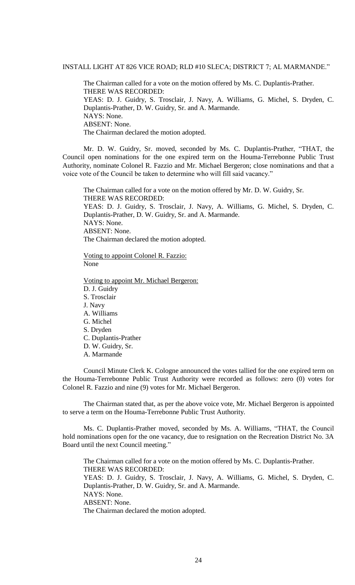### INSTALL LIGHT AT 826 VICE ROAD; RLD #10 SLECA; DISTRICT 7; AL MARMANDE."

The Chairman called for a vote on the motion offered by Ms. C. Duplantis-Prather. THERE WAS RECORDED: YEAS: D. J. Guidry, S. Trosclair, J. Navy, A. Williams, G. Michel, S. Dryden, C. Duplantis-Prather, D. W. Guidry, Sr. and A. Marmande. NAYS: None. ABSENT: None. The Chairman declared the motion adopted.

Mr. D. W. Guidry, Sr. moved, seconded by Ms. C. Duplantis-Prather, "THAT, the Council open nominations for the one expired term on the Houma-Terrebonne Public Trust Authority, nominate Colonel R. Fazzio and Mr. Michael Bergeron; close nominations and that a voice vote of the Council be taken to determine who will fill said vacancy."

The Chairman called for a vote on the motion offered by Mr. D. W. Guidry, Sr. THERE WAS RECORDED: YEAS: D. J. Guidry, S. Trosclair, J. Navy, A. Williams, G. Michel, S. Dryden, C. Duplantis-Prather, D. W. Guidry, Sr. and A. Marmande. NAYS: None. ABSENT: None. The Chairman declared the motion adopted.

Voting to appoint Colonel R. Fazzio: None

Voting to appoint Mr. Michael Bergeron: D. J. Guidry S. Trosclair J. Navy A. Williams G. Michel S. Dryden C. Duplantis-Prather D. W. Guidry, Sr. A. Marmande

Council Minute Clerk K. Cologne announced the votes tallied for the one expired term on the Houma-Terrebonne Public Trust Authority were recorded as follows: zero (0) votes for Colonel R. Fazzio and nine (9) votes for Mr. Michael Bergeron.

The Chairman stated that, as per the above voice vote, Mr. Michael Bergeron is appointed to serve a term on the Houma-Terrebonne Public Trust Authority.

Ms. C. Duplantis-Prather moved, seconded by Ms. A. Williams, "THAT, the Council hold nominations open for the one vacancy, due to resignation on the Recreation District No. 3A Board until the next Council meeting."

The Chairman called for a vote on the motion offered by Ms. C. Duplantis-Prather. THERE WAS RECORDED: YEAS: D. J. Guidry, S. Trosclair, J. Navy, A. Williams, G. Michel, S. Dryden, C. Duplantis-Prather, D. W. Guidry, Sr. and A. Marmande. NAYS: None. ABSENT: None. The Chairman declared the motion adopted.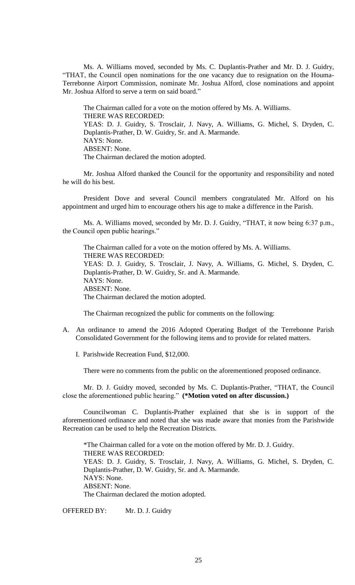Ms. A. Williams moved, seconded by Ms. C. Duplantis-Prather and Mr. D. J. Guidry, "THAT, the Council open nominations for the one vacancy due to resignation on the Houma-Terrebonne Airport Commission, nominate Mr. Joshua Alford, close nominations and appoint Mr. Joshua Alford to serve a term on said board."

The Chairman called for a vote on the motion offered by Ms. A. Williams. THERE WAS RECORDED: YEAS: D. J. Guidry, S. Trosclair, J. Navy, A. Williams, G. Michel, S. Dryden, C. Duplantis-Prather, D. W. Guidry, Sr. and A. Marmande. NAYS: None. ABSENT: None. The Chairman declared the motion adopted.

Mr. Joshua Alford thanked the Council for the opportunity and responsibility and noted he will do his best.

President Dove and several Council members congratulated Mr. Alford on his appointment and urged him to encourage others his age to make a difference in the Parish.

Ms. A. Williams moved, seconded by Mr. D. J. Guidry, "THAT, it now being 6:37 p.m., the Council open public hearings."

The Chairman called for a vote on the motion offered by Ms. A. Williams. THERE WAS RECORDED: YEAS: D. J. Guidry, S. Trosclair, J. Navy, A. Williams, G. Michel, S. Dryden, C. Duplantis-Prather, D. W. Guidry, Sr. and A. Marmande. NAYS: None. ABSENT: None. The Chairman declared the motion adopted.

The Chairman recognized the public for comments on the following:

- A. An ordinance to amend the 2016 Adopted Operating Budget of the Terrebonne Parish Consolidated Government for the following items and to provide for related matters.
	- I. Parishwide Recreation Fund, \$12,000.

There were no comments from the public on the aforementioned proposed ordinance.

Mr. D. J. Guidry moved, seconded by Ms. C. Duplantis-Prather, "THAT, the Council close the aforementioned public hearing." **(\*Motion voted on after discussion.)**

Councilwoman C. Duplantis-Prather explained that she is in support of the aforementioned ordinance and noted that she was made aware that monies from the Parishwide Recreation can be used to help the Recreation Districts.

\*The Chairman called for a vote on the motion offered by Mr. D. J. Guidry. THERE WAS RECORDED: YEAS: D. J. Guidry, S. Trosclair, J. Navy, A. Williams, G. Michel, S. Dryden, C. Duplantis-Prather, D. W. Guidry, Sr. and A. Marmande. NAYS: None. ABSENT: None. The Chairman declared the motion adopted.

OFFERED BY: Mr. D. J. Guidry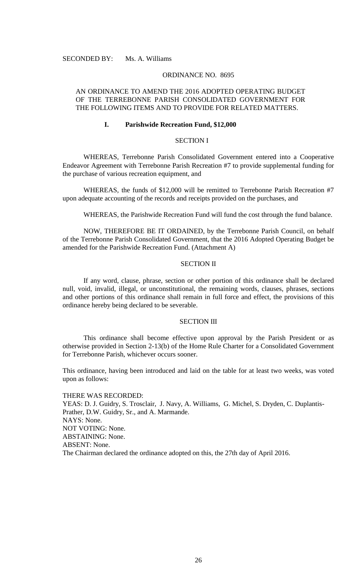SECONDED BY: Ms. A. Williams

### ORDINANCE NO. 8695

## AN ORDINANCE TO AMEND THE 2016 ADOPTED OPERATING BUDGET OF THE TERREBONNE PARISH CONSOLIDATED GOVERNMENT FOR THE FOLLOWING ITEMS AND TO PROVIDE FOR RELATED MATTERS.

## **I. Parishwide Recreation Fund, \$12,000**

## SECTION I

WHEREAS, Terrebonne Parish Consolidated Government entered into a Cooperative Endeavor Agreement with Terrebonne Parish Recreation #7 to provide supplemental funding for the purchase of various recreation equipment, and

WHEREAS, the funds of \$12,000 will be remitted to Terrebonne Parish Recreation #7 upon adequate accounting of the records and receipts provided on the purchases, and

WHEREAS, the Parishwide Recreation Fund will fund the cost through the fund balance.

NOW, THEREFORE BE IT ORDAINED, by the Terrebonne Parish Council, on behalf of the Terrebonne Parish Consolidated Government, that the 2016 Adopted Operating Budget be amended for the Parishwide Recreation Fund. (Attachment A)

### SECTION II

If any word, clause, phrase, section or other portion of this ordinance shall be declared null, void, invalid, illegal, or unconstitutional, the remaining words, clauses, phrases, sections and other portions of this ordinance shall remain in full force and effect, the provisions of this ordinance hereby being declared to be severable.

#### SECTION III

This ordinance shall become effective upon approval by the Parish President or as otherwise provided in Section 2-13(b) of the Home Rule Charter for a Consolidated Government for Terrebonne Parish, whichever occurs sooner.

This ordinance, having been introduced and laid on the table for at least two weeks, was voted upon as follows:

THERE WAS RECORDED: YEAS: D. J. Guidry, S. Trosclair, J. Navy, A. Williams, G. Michel, S. Dryden, C. Duplantis-Prather, D.W. Guidry, Sr., and A. Marmande. NAYS: None. NOT VOTING: None. ABSTAINING: None. ABSENT: None. The Chairman declared the ordinance adopted on this, the 27th day of April 2016.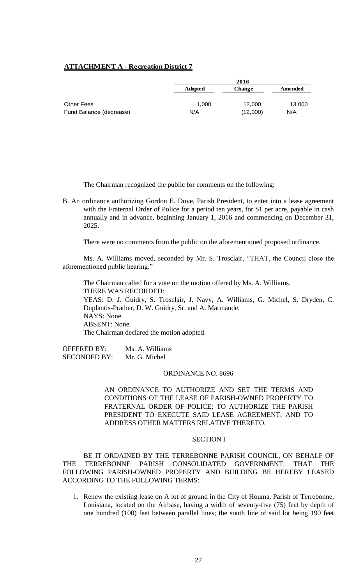## **ATTACHMENT A - Recreation District 7**

|                         |                | 2016     |         |
|-------------------------|----------------|----------|---------|
|                         | <b>Adopted</b> | Change   | Amended |
|                         |                |          |         |
| <b>Other Fees</b>       | 1.000          | 12,000   | 13,000  |
| Fund Balance (decrease) | N/A            | (12,000) | N/A     |

The Chairman recognized the public for comments on the following:

B. An ordinance authorizing Gordon E. Dove, Parish President, to enter into a lease agreement with the Fraternal Order of Police for a period ten years, for \$1 per acre, payable in cash annually and in advance, beginning January 1, 2016 and commencing on December 31, 2025.

There were no comments from the public on the aforementioned proposed ordinance.

Ms. A. Williams moved, seconded by Mr. S. Trosclair, "THAT, the Council close the aforementioned public hearing."

The Chairman called for a vote on the motion offered by Ms. A. Williams. THERE WAS RECORDED: YEAS: D. J. Guidry, S. Trosclair, J. Navy, A. Williams, G. Michel, S. Dryden, C. Duplantis-Prather, D. W. Guidry, Sr. and A. Marmande. NAYS: None. ABSENT: None. The Chairman declared the motion adopted.

OFFERED BY: Ms. A. Williams SECONDED BY: Mr. G. Michel

#### ORDINANCE NO. 8696

AN ORDINANCE TO AUTHORIZE AND SET THE TERMS AND CONDITIONS OF THE LEASE OF PARISH-OWNED PROPERTY TO FRATERNAL ORDER OF POLICE; TO AUTHORIZE THE PARISH PRESIDENT TO EXECUTE SAID LEASE AGREEMENT; AND TO ADDRESS OTHER MATTERS RELATIVE THERETO.

### SECTION I

BE IT ORDAINED BY THE TERREBONNE PARISH COUNCIL, ON BEHALF OF THE TERREBONNE PARISH CONSOLIDATED GOVERNMENT, THAT THE FOLLOWING PARISH-OWNED PROPERTY AND BUILDING BE HEREBY LEASED ACCORDING TO THE FOLLOWING TERMS:

1. Renew the existing lease on A lot of ground in the City of Houma, Parish of Terrebonne, Louisiana, located on the Airbase, having a width of seventy-five (75) feet by depth of one hundred (100) feet between parallel lines; the south line of said lot being 190 feet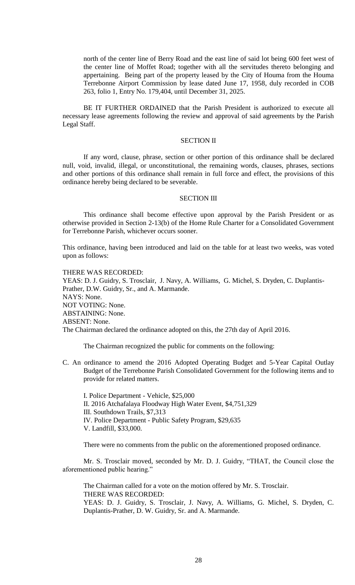north of the center line of Berry Road and the east line of said lot being 600 feet west of the center line of Moffet Road; together with all the servitudes thereto belonging and appertaining. Being part of the property leased by the City of Houma from the Houma Terrebonne Airport Commission by lease dated June 17, 1958, duly recorded in COB 263, folio 1, Entry No. 179,404, until December 31, 2025.

BE IT FURTHER ORDAINED that the Parish President is authorized to execute all necessary lease agreements following the review and approval of said agreements by the Parish Legal Staff.

### SECTION II

If any word, clause, phrase, section or other portion of this ordinance shall be declared null, void, invalid, illegal, or unconstitutional, the remaining words, clauses, phrases, sections and other portions of this ordinance shall remain in full force and effect, the provisions of this ordinance hereby being declared to be severable.

#### SECTION III

This ordinance shall become effective upon approval by the Parish President or as otherwise provided in Section 2-13(b) of the Home Rule Charter for a Consolidated Government for Terrebonne Parish, whichever occurs sooner.

This ordinance, having been introduced and laid on the table for at least two weeks, was voted upon as follows:

#### THERE WAS RECORDED:

YEAS: D. J. Guidry, S. Trosclair, J. Navy, A. Williams, G. Michel, S. Dryden, C. Duplantis-Prather, D.W. Guidry, Sr., and A. Marmande. NAYS: None. NOT VOTING: None. ABSTAINING: None. ABSENT: None. The Chairman declared the ordinance adopted on this, the 27th day of April 2016.

The Chairman recognized the public for comments on the following:

C. An ordinance to amend the 2016 Adopted Operating Budget and 5-Year Capital Outlay Budget of the Terrebonne Parish Consolidated Government for the following items and to provide for related matters.

I. Police Department - Vehicle, \$25,000 II. 2016 Atchafalaya Floodway High Water Event, \$4,751,329 III. Southdown Trails, \$7,313 IV. Police Department - Public Safety Program, \$29,635 V. Landfill, \$33,000.

There were no comments from the public on the aforementioned proposed ordinance.

Mr. S. Trosclair moved, seconded by Mr. D. J. Guidry, "THAT, the Council close the aforementioned public hearing."

The Chairman called for a vote on the motion offered by Mr. S. Trosclair. THERE WAS RECORDED: YEAS: D. J. Guidry, S. Trosclair, J. Navy, A. Williams, G. Michel, S. Dryden, C. Duplantis-Prather, D. W. Guidry, Sr. and A. Marmande.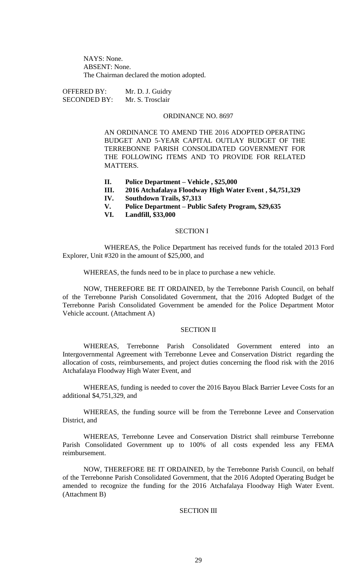NAYS: None. ABSENT: None. The Chairman declared the motion adopted.

OFFERED BY: Mr. D. J. Guidry SECONDED BY: Mr. S. Trosclair

## ORDINANCE NO. 8697

AN ORDINANCE TO AMEND THE 2016 ADOPTED OPERATING BUDGET AND 5-YEAR CAPITAL OUTLAY BUDGET OF THE TERREBONNE PARISH CONSOLIDATED GOVERNMENT FOR THE FOLLOWING ITEMS AND TO PROVIDE FOR RELATED **MATTERS.** 

- **II. Police Department – Vehicle , \$25,000**
- **III. 2016 Atchafalaya Floodway High Water Event , \$4,751,329**
- **IV. Southdown Trails, \$7,313**
- **V. Police Department – Public Safety Program, \$29,635**
- **VI. Landfill, \$33,000**

### SECTION I

WHEREAS, the Police Department has received funds for the totaled 2013 Ford Explorer, Unit #320 in the amount of \$25,000, and

WHEREAS, the funds need to be in place to purchase a new vehicle.

NOW, THEREFORE BE IT ORDAINED, by the Terrebonne Parish Council, on behalf of the Terrebonne Parish Consolidated Government, that the 2016 Adopted Budget of the Terrebonne Parish Consolidated Government be amended for the Police Department Motor Vehicle account. (Attachment A)

#### SECTION II

WHEREAS, Terrebonne Parish Consolidated Government entered into an Intergovernmental Agreement with Terrebonne Levee and Conservation District regarding the allocation of costs, reimbursements, and project duties concerning the flood risk with the 2016 Atchafalaya Floodway High Water Event, and

WHEREAS, funding is needed to cover the 2016 Bayou Black Barrier Levee Costs for an additional \$4,751,329, and

WHEREAS, the funding source will be from the Terrebonne Levee and Conservation District, and

WHEREAS, Terrebonne Levee and Conservation District shall reimburse Terrebonne Parish Consolidated Government up to 100% of all costs expended less any FEMA reimbursement.

NOW, THEREFORE BE IT ORDAINED, by the Terrebonne Parish Council, on behalf of the Terrebonne Parish Consolidated Government, that the 2016 Adopted Operating Budget be amended to recognize the funding for the 2016 Atchafalaya Floodway High Water Event. (Attachment B)

### SECTION III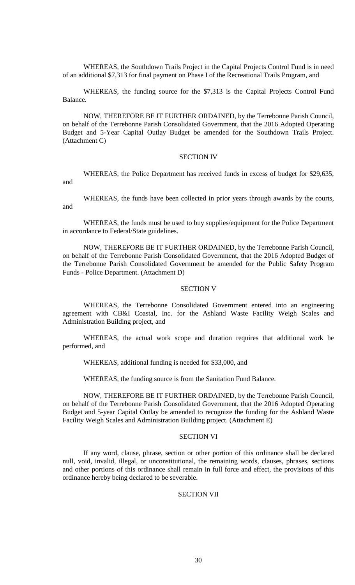WHEREAS, the Southdown Trails Project in the Capital Projects Control Fund is in need of an additional \$7,313 for final payment on Phase I of the Recreational Trails Program, and

WHEREAS, the funding source for the \$7,313 is the Capital Projects Control Fund Balance.

NOW, THEREFORE BE IT FURTHER ORDAINED, by the Terrebonne Parish Council, on behalf of the Terrebonne Parish Consolidated Government, that the 2016 Adopted Operating Budget and 5-Year Capital Outlay Budget be amended for the Southdown Trails Project. (Attachment C)

### SECTION IV

WHEREAS, the Police Department has received funds in excess of budget for \$29,635, and

WHEREAS, the funds have been collected in prior years through awards by the courts, and

WHEREAS, the funds must be used to buy supplies/equipment for the Police Department in accordance to Federal/State guidelines.

NOW, THEREFORE BE IT FURTHER ORDAINED, by the Terrebonne Parish Council, on behalf of the Terrebonne Parish Consolidated Government, that the 2016 Adopted Budget of the Terrebonne Parish Consolidated Government be amended for the Public Safety Program Funds - Police Department. (Attachment D)

#### SECTION V

WHEREAS, the Terrebonne Consolidated Government entered into an engineering agreement with CB&I Coastal, Inc. for the Ashland Waste Facility Weigh Scales and Administration Building project, and

WHEREAS, the actual work scope and duration requires that additional work be performed, and

WHEREAS, additional funding is needed for \$33,000, and

WHEREAS, the funding source is from the Sanitation Fund Balance.

NOW, THEREFORE BE IT FURTHER ORDAINED, by the Terrebonne Parish Council, on behalf of the Terrebonne Parish Consolidated Government, that the 2016 Adopted Operating Budget and 5-year Capital Outlay be amended to recognize the funding for the Ashland Waste Facility Weigh Scales and Administration Building project. (Attachment E)

### SECTION VI

If any word, clause, phrase, section or other portion of this ordinance shall be declared null, void, invalid, illegal, or unconstitutional, the remaining words, clauses, phrases, sections and other portions of this ordinance shall remain in full force and effect, the provisions of this ordinance hereby being declared to be severable.

### SECTION VII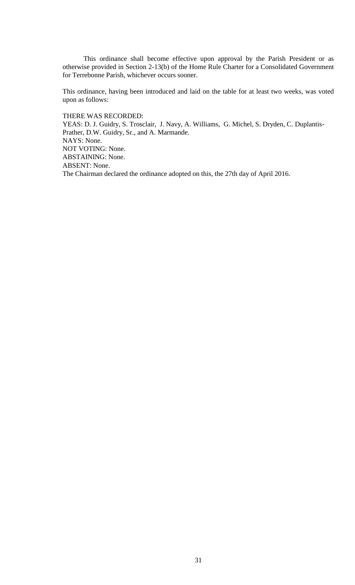This ordinance shall become effective upon approval by the Parish President or as otherwise provided in Section 2-13(b) of the Home Rule Charter for a Consolidated Government for Terrebonne Parish, whichever occurs sooner.

This ordinance, having been introduced and laid on the table for at least two weeks, was voted upon as follows:

THERE WAS RECORDED:

YEAS: D. J. Guidry, S. Trosclair, J. Navy, A. Williams, G. Michel, S. Dryden, C. Duplantis-Prather, D.W. Guidry, Sr., and A. Marmande. NAYS: None. NOT VOTING: None. ABSTAINING: None. ABSENT: None. The Chairman declared the ordinance adopted on this, the 27th day of April 2016.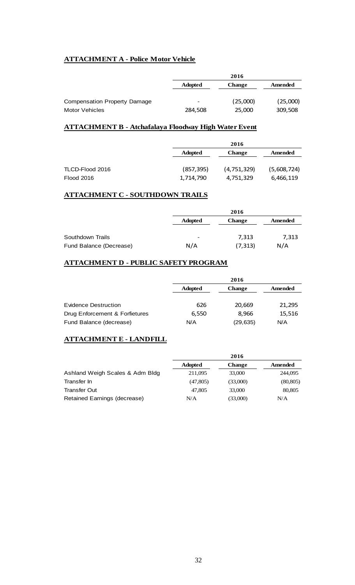# **ATTACHMENT A - Police Motor Vehicle**

|                                     |                | 2016          |          |
|-------------------------------------|----------------|---------------|----------|
|                                     | <b>Adopted</b> | <b>Change</b> | Amended  |
| <b>Compensation Property Damage</b> | -              | (25,000)      | (25,000) |
| <b>Motor Vehicles</b>               | 284,508        | 25,000        | 309,508  |

# **ATTACHMENT B - Atchafalaya Floodway High Water Event**

|                   |                | 2016          |             |
|-------------------|----------------|---------------|-------------|
|                   | <b>Adopted</b> | <b>Change</b> | Amended     |
|                   |                |               |             |
| TLCD-Flood 2016   | (857, 395)     | (4, 751, 329) | (5,608,724) |
| <b>Flood 2016</b> | 1,714,790      | 4,751,329     | 6,466,119   |

# **ATTACHMENT C - SOUTHDOWN TRAILS**

|                         |                              | 2016          |         |
|-------------------------|------------------------------|---------------|---------|
|                         | <b>Adopted</b>               | <b>Change</b> | Amended |
|                         |                              |               |         |
| Southdown Trails        | $\qquad \qquad \blacksquare$ | 7,313         | 7,313   |
| Fund Balance (Decrease) | N/A                          | (7, 313)      | N/A     |

# **ATTACHMENT D - PUBLIC SAFETY PROGRAM**

|                                |                | 2016          |         |
|--------------------------------|----------------|---------------|---------|
|                                | <b>Adopted</b> | <b>Change</b> | Amended |
|                                |                |               |         |
| Evidence Destruction           | 626            | 20,669        | 21,295  |
| Drug Enforcement & Forfietures | 6.550          | 8.966         | 15,516  |
| Fund Balance (decrease)        | N/A            | (29, 635)     | N/A     |

## **ATTACHMENT E - LANDFILL**

|                                 | 2016           |               |           |
|---------------------------------|----------------|---------------|-----------|
|                                 | <b>Adopted</b> | <b>Change</b> | Amended   |
| Ashland Weigh Scales & Adm Bldg | 211,095        | 33,000        | 244,095   |
| Transfer In                     | (47,805)       | (33,000)      | (80, 805) |
| Transfer Out                    | 47,805         | 33,000        | 80,805    |
| Retained Earnings (decrease)    | N/A            | (33,000)      | N/A       |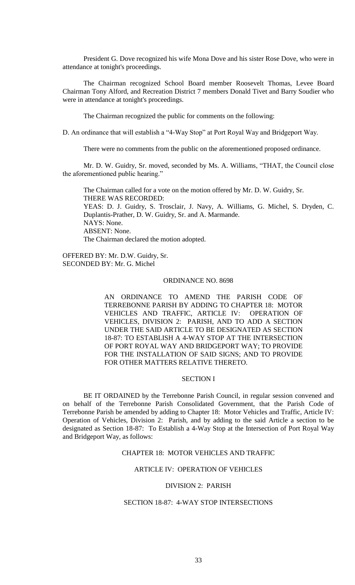President G. Dove recognized his wife Mona Dove and his sister Rose Dove, who were in attendance at tonight's proceedings.

The Chairman recognized School Board member Roosevelt Thomas, Levee Board Chairman Tony Alford, and Recreation District 7 members Donald Tivet and Barry Soudier who were in attendance at tonight's proceedings.

The Chairman recognized the public for comments on the following:

D. An ordinance that will establish a "4-Way Stop" at Port Royal Way and Bridgeport Way.

There were no comments from the public on the aforementioned proposed ordinance.

Mr. D. W. Guidry, Sr. moved, seconded by Ms. A. Williams, "THAT, the Council close the aforementioned public hearing."

The Chairman called for a vote on the motion offered by Mr. D. W. Guidry, Sr. THERE WAS RECORDED: YEAS: D. J. Guidry, S. Trosclair, J. Navy, A. Williams, G. Michel, S. Dryden, C. Duplantis-Prather, D. W. Guidry, Sr. and A. Marmande. NAYS: None. ABSENT: None. The Chairman declared the motion adopted.

OFFERED BY: Mr. D.W. Guidry, Sr. SECONDED BY: Mr. G. Michel

#### ORDINANCE NO. 8698

AN ORDINANCE TO AMEND THE PARISH CODE OF TERREBONNE PARISH BY ADDING TO CHAPTER 18: MOTOR VEHICLES AND TRAFFIC, ARTICLE IV: OPERATION OF VEHICLES, DIVISION 2: PARISH, AND TO ADD A SECTION UNDER THE SAID ARTICLE TO BE DESIGNATED AS SECTION 18-87: TO ESTABLISH A 4-WAY STOP AT THE INTERSECTION OF PORT ROYAL WAY AND BRIDGEPORT WAY; TO PROVIDE FOR THE INSTALLATION OF SAID SIGNS; AND TO PROVIDE FOR OTHER MATTERS RELATIVE THERETO.

### SECTION I

BE IT ORDAINED by the Terrebonne Parish Council, in regular session convened and on behalf of the Terrebonne Parish Consolidated Government, that the Parish Code of Terrebonne Parish be amended by adding to Chapter 18: Motor Vehicles and Traffic, Article IV: Operation of Vehicles, Division 2: Parish, and by adding to the said Article a section to be designated as Section 18-87: To Establish a 4-Way Stop at the Intersection of Port Royal Way and Bridgeport Way, as follows:

## CHAPTER 18: MOTOR VEHICLES AND TRAFFIC

### ARTICLE IV: OPERATION OF VEHICLES

### DIVISION 2: PARISH

## SECTION 18-87: 4-WAY STOP INTERSECTIONS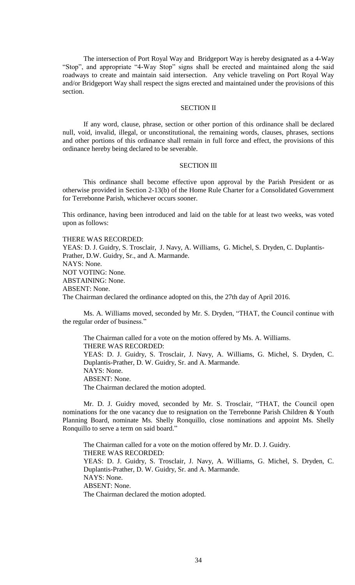The intersection of Port Royal Way and Bridgeport Way is hereby designated as a 4-Way "Stop", and appropriate "4-Way Stop" signs shall be erected and maintained along the said roadways to create and maintain said intersection. Any vehicle traveling on Port Royal Way and/or Bridgeport Way shall respect the signs erected and maintained under the provisions of this section.

## SECTION II

If any word, clause, phrase, section or other portion of this ordinance shall be declared null, void, invalid, illegal, or unconstitutional, the remaining words, clauses, phrases, sections and other portions of this ordinance shall remain in full force and effect, the provisions of this ordinance hereby being declared to be severable.

#### SECTION III

This ordinance shall become effective upon approval by the Parish President or as otherwise provided in Section 2-13(b) of the Home Rule Charter for a Consolidated Government for Terrebonne Parish, whichever occurs sooner.

This ordinance, having been introduced and laid on the table for at least two weeks, was voted upon as follows:

THERE WAS RECORDED:

YEAS: D. J. Guidry, S. Trosclair, J. Navy, A. Williams, G. Michel, S. Dryden, C. Duplantis-Prather, D.W. Guidry, Sr., and A. Marmande. NAYS: None. NOT VOTING: None. ABSTAINING: None. ABSENT: None. The Chairman declared the ordinance adopted on this, the 27th day of April 2016.

Ms. A. Williams moved, seconded by Mr. S. Dryden, "THAT, the Council continue with the regular order of business."

The Chairman called for a vote on the motion offered by Ms. A. Williams. THERE WAS RECORDED: YEAS: D. J. Guidry, S. Trosclair, J. Navy, A. Williams, G. Michel, S. Dryden, C. Duplantis-Prather, D. W. Guidry, Sr. and A. Marmande. NAYS: None. ABSENT: None. The Chairman declared the motion adopted.

Mr. D. J. Guidry moved, seconded by Mr. S. Trosclair, "THAT, the Council open nominations for the one vacancy due to resignation on the Terrebonne Parish Children & Youth Planning Board, nominate Ms. Shelly Ronquillo, close nominations and appoint Ms. Shelly Ronquillo to serve a term on said board."

The Chairman called for a vote on the motion offered by Mr. D. J. Guidry. THERE WAS RECORDED: YEAS: D. J. Guidry, S. Trosclair, J. Navy, A. Williams, G. Michel, S. Dryden, C. Duplantis-Prather, D. W. Guidry, Sr. and A. Marmande. NAYS: None. ABSENT: None. The Chairman declared the motion adopted.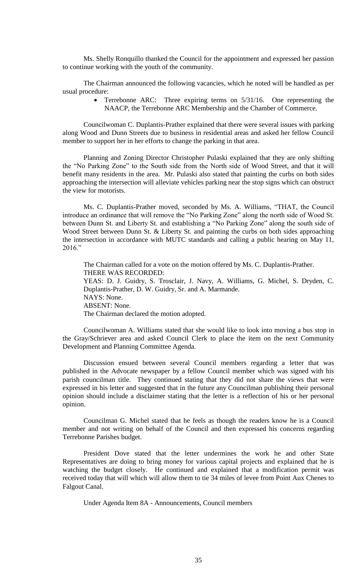Ms. Shelly Ronquillo thanked the Council for the appointment and expressed her passion to continue working with the youth of the community.

The Chairman announced the following vacancies, which he noted will be handled as per usual procedure:

> Terrebonne ARC: Three expiring terms on 5/31/16. One representing the NAACP, the Terrebonne ARC Membership and the Chamber of Commerce.

Councilwoman C. Duplantis-Prather explained that there were several issues with parking along Wood and Dunn Streets due to business in residential areas and asked her fellow Council member to support her in her efforts to change the parking in that area.

Planning and Zoning Director Christopher Pulaski explained that they are only shifting the "No Parking Zone" to the South side from the North side of Wood Street, and that it will benefit many residents in the area. Mr. Pulaski also stated that painting the curbs on both sides approaching the intersection will alleviate vehicles parking near the stop signs which can obstruct the view for motorists.

Ms. C. Duplantis-Prather moved, seconded by Ms. A. Williams, "THAT, the Council introduce an ordinance that will remove the "No Parking Zone" along the north side of Wood St. between Dunn St. and Liberty St. and establishing a "No Parking Zone" along the south side of Wood Street between Dunn St. & Liberty St. and painting the curbs on both sides approaching the intersection in accordance with MUTC standards and calling a public hearing on May 11, 2016."

The Chairman called for a vote on the motion offered by Ms. C. Duplantis-Prather. THERE WAS RECORDED: YEAS: D. J. Guidry, S. Trosclair, J. Navy, A. Williams, G. Michel, S. Dryden, C. Duplantis-Prather, D. W. Guidry, Sr. and A. Marmande. NAYS: None. ABSENT: None. The Chairman declared the motion adopted.

Councilwoman A. Williams stated that she would like to look into moving a bus stop in the Gray/Schriever area and asked Council Clerk to place the item on the next Community Development and Planning Committee Agenda.

Discussion ensued between several Council members regarding a letter that was published in the Advocate newspaper by a fellow Council member which was signed with his parish councilman title. They continued stating that they did not share the views that were expressed in his letter and suggested that in the future any Councilman publishing their personal opinion should include a disclaimer stating that the letter is a reflection of his or her personal opinion.

Councilman G. Michel stated that he feels as though the readers know he is a Council member and not writing on behalf of the Council and then expressed his concerns regarding Terrebonne Parishes budget.

President Dove stated that the letter undermines the work he and other State Representatives are doing to bring money for various capital projects and explained that he is watching the budget closely. He continued and explained that a modification permit was received today that will which will allow them to tie 34 miles of levee from Point Aux Chenes to Falgout Canal.

Under Agenda Item 8A - Announcements, Council members